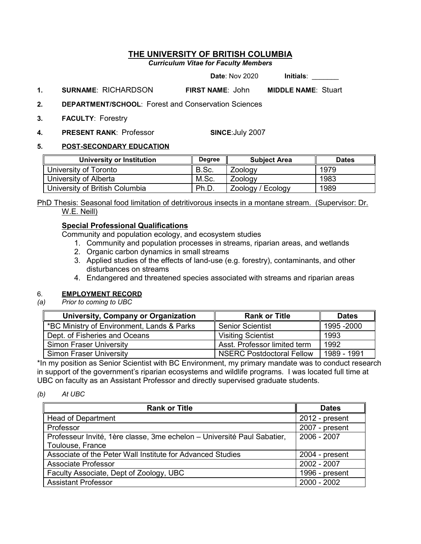# **THE UNIVERSITY OF BRITISH COLUMBIA**

*Curriculum Vitae for Faculty Members*

**Date**: Nov 2020 **Initials:** 

- **1. SURNAME**: RICHARDSON **FIRST NAME**: John **MIDDLE NAME**: Stuart
- **2. DEPARTMENT/SCHOOL**: Forest and Conservation Sciences
- **3. FACULTY**: Forestry
- **4. PRESENT RANK**: Professor **SINCE**:July 2007

#### **5. POST-SECONDARY EDUCATION**

| <b>University or Institution</b> | <b>Dearee</b> | <b>Subiect Area</b> | <b>Dates</b> |
|----------------------------------|---------------|---------------------|--------------|
| University of Toronto            | B.Sc.         | Zoology             | 1979         |
| University of Alberta            | M.Sc.         | Zoology             | 1983         |
| University of British Columbia   | Ph.D.         | Zoology / Ecology   | 1989         |

*<sup>U</sup>*PhD Thesis: Seasonal food limitation of detritivorous insects in a montane stream. (Supervisor: Dr. W.E. Neill)

# **Special Professional Qualifications**

Community and population ecology, and ecosystem studies

- 1. Community and population processes in streams, riparian areas, and wetlands
- 2. Organic carbon dynamics in small streams
- 3. Applied studies of the effects of land-use (e.g. forestry), contaminants, and other disturbances on streams
- 4. Endangered and threatened species associated with streams and riparian areas

# 6. **EMPLOYMENT RECORD**<br>(a) Prior to coming to UBC

*Prior to coming to UBC* 

| <b>University, Company or Organization</b> | <b>Rank or Title</b>             | <b>Dates</b> |
|--------------------------------------------|----------------------------------|--------------|
| *BC Ministry of Environment, Lands & Parks | <b>Senior Scientist</b>          | 1995 - 2000  |
| Dept. of Fisheries and Oceans              | <b>Visiting Scientist</b>        | 1993         |
| <b>Simon Fraser University</b>             | Asst. Professor limited term     | 1992         |
| <b>Simon Fraser University</b>             | <b>NSERC Postdoctoral Fellow</b> | 1989 - 1991  |

\*In my position as Senior Scientist with BC Environment, my primary mandate was to conduct research in support of the government's riparian ecosystems and wildlife programs. I was located full time at UBC on faculty as an Assistant Professor and directly supervised graduate students.

#### *(b) At UBC*

| <b>Rank or Title</b>                                                    | <b>Dates</b>   |
|-------------------------------------------------------------------------|----------------|
| <b>Head of Department</b>                                               | 2012 - present |
| Professor                                                               | 2007 - present |
| Professeur Invité, 1ère classe, 3me echelon – Université Paul Sabatier, | 2006 - 2007    |
| Toulouse, France                                                        |                |
| Associate of the Peter Wall Institute for Advanced Studies              | 2004 - present |
| <b>Associate Professor</b>                                              | 2002 - 2007    |
| Faculty Associate, Dept of Zoology, UBC                                 | 1996 - present |
| <b>Assistant Professor</b>                                              | $2000 - 2002$  |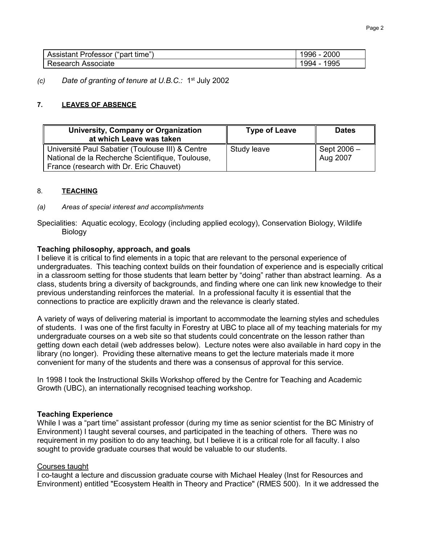| Assistant Professor ("part time") | 2000<br>¦996 - ′ |
|-----------------------------------|------------------|
| Research Associate                | 1995<br>1994 -   |

*(c) Date of granting of tenure at U.B.C.:* 1st July 2002

## **7.** *<sup>U</sup>***LEAVES OF ABSENCE**

| University, Company or Organization<br>at which Leave was taken | <b>Type of Leave</b> | <b>Dates</b> |
|-----------------------------------------------------------------|----------------------|--------------|
| Université Paul Sabatier (Toulouse III) & Centre                | Study leave          | Sept 2006 -  |
| National de la Recherche Scientifique, Toulouse,                |                      | Aug 2007     |
| France (research with Dr. Eric Chauvet)                         |                      |              |

#### 8. **TEACHING**

*(a) Areas of special interest and accomplishments*

Specialities: Aquatic ecology, Ecology (including applied ecology), Conservation Biology, Wildlife **Biology** 

#### *15B***Teaching philosophy, approach, and goals**

I believe it is critical to find elements in a topic that are relevant to the personal experience of undergraduates. This teaching context builds on their foundation of experience and is especially critical in a classroom setting for those students that learn better by "doing" rather than abstract learning. As a class, students bring a diversity of backgrounds, and finding where one can link new knowledge to their previous understanding reinforces the material. In a professional faculty it is essential that the connections to practice are explicitly drawn and the relevance is clearly stated.

A variety of ways of delivering material is important to accommodate the learning styles and schedules of students. I was one of the first faculty in Forestry at UBC to place all of my teaching materials for my undergraduate courses on a web site so that students could concentrate on the lesson rather than getting down each detail (web addresses below). Lecture notes were also available in hard copy in the library (no longer). Providing these alternative means to get the lecture materials made it more convenient for many of the students and there was a consensus of approval for this service.

In 1998 I took the Instructional Skills Workshop offered by the Centre for Teaching and Academic Growth (UBC), an internationally recognised teaching workshop.

#### *23B***Teaching Experience**

While I was a "part time" assistant professor (during my time as senior scientist for the BC Ministry of Environment) I taught several courses, and participated in the teaching of others. There was no requirement in my position to do any teaching, but I believe it is a critical role for all faculty. I also sought to provide graduate courses that would be valuable to our students.

#### *27* Courses taught

I co-taught a lecture and discussion graduate course with Michael Healey (Inst for Resources and Environment) entitled "Ecosystem Health in Theory and Practice" (RMES 500). In it we addressed the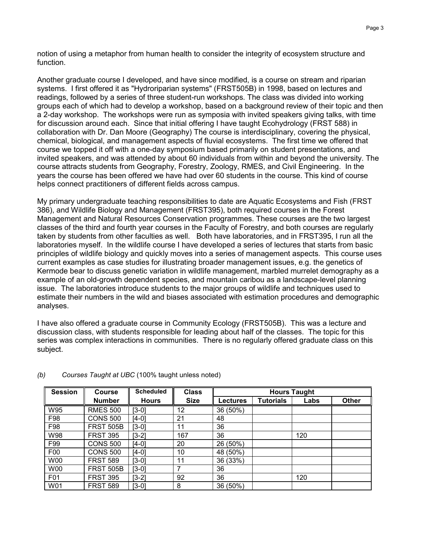notion of using a metaphor from human health to consider the integrity of ecosystem structure and function.

Another graduate course I developed, and have since modified, is a course on stream and riparian systems. I first offered it as "Hydroriparian systems" (FRST505B) in 1998, based on lectures and readings, followed by a series of three student-run workshops. The class was divided into working groups each of which had to develop a workshop, based on a background review of their topic and then a 2-day workshop. The workshops were run as symposia with invited speakers giving talks, with time for discussion around each. Since that initial offering I have taught Ecohydrology (FRST 588) in collaboration with Dr. Dan Moore (Geography) The course is interdisciplinary, covering the physical, chemical, biological, and management aspects of fluvial ecosystems. The first time we offered that course we topped it off with a one-day symposium based primarily on student presentations, and invited speakers, and was attended by about 60 individuals from within and beyond the university. The course attracts students from Geography, Forestry, Zoology, RMES, and Civil Engineering. In the years the course has been offered we have had over 60 students in the course. This kind of course helps connect practitioners of different fields across campus.

My primary undergraduate teaching responsibilities to date are Aquatic Ecosystems and Fish (FRST 386), and Wildlife Biology and Management (FRST395), both required courses in the Forest Management and Natural Resources Conservation programmes. These courses are the two largest classes of the third and fourth year courses in the Faculty of Forestry, and both courses are regularly taken by students from other faculties as well. Both have laboratories, and in FRST395, I run all the laboratories myself. In the wildlife course I have developed a series of lectures that starts from basic principles of wildlife biology and quickly moves into a series of management aspects. This course uses current examples as case studies for illustrating broader management issues, e.g. the genetics of Kermode bear to discuss genetic variation in wildlife management, marbled murrelet demography as a example of an old-growth dependent species, and mountain caribou as a landscape-level planning issue. The laboratories introduce students to the major groups of wildlife and techniques used to estimate their numbers in the wild and biases associated with estimation procedures and demographic analyses.

I have also offered a graduate course in Community Ecology (FRST505B). This was a lecture and discussion class, with students responsible for leading about half of the classes. The topic for this series was complex interactions in communities. There is no regularly offered graduate class on this subject.

| <b>Session</b> | <b>Course</b>    | <b>Scheduled</b> | <b>Class</b> | <b>Hours Taught</b> |                  |      |              |
|----------------|------------------|------------------|--------------|---------------------|------------------|------|--------------|
|                | <b>Number</b>    | <b>Hours</b>     | <b>Size</b>  | <b>Lectures</b>     | <b>Tutorials</b> | Labs | <b>Other</b> |
| W95            | <b>RMES 500</b>  | I3-01            | 12           | 36 (50%)            |                  |      |              |
| F98            | <b>CONS 500</b>  | $[4-0]$          | 21           | 48                  |                  |      |              |
| F98            | <b>FRST 505B</b> | [3-0]            | 11           | 36                  |                  |      |              |
| W98            | <b>FRST 395</b>  | [3-2]            | 167          | 36                  |                  | 120  |              |
| F99            | <b>CONS 500</b>  | [4-0]            | 20           | 26 (50%)            |                  |      |              |
| F <sub>0</sub> | <b>CONS 500</b>  | [4-0]            | 10           | 48 (50%)            |                  |      |              |
| W00            | <b>FRST 589</b>  | [3-0]            | 11           | 36 (33%)            |                  |      |              |
| <b>W00</b>     | <b>FRST 505B</b> | [3-0]            | 7            | 36                  |                  |      |              |
| F01            | <b>FRST 395</b>  | $[3-2]$          | 92           | 36                  |                  | 120  |              |
| W01            | <b>FRST 589</b>  | [3-0]            | 8            | 36 (50%)            |                  |      |              |

#### *(b) Courses Taught at UBC* (100% taught unless noted)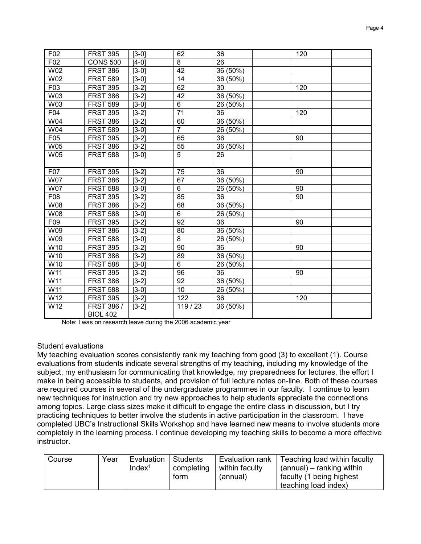| F02        | <b>FRST 395</b> | $[3-0]$ | 62              | 36              | 120 |
|------------|-----------------|---------|-----------------|-----------------|-----|
| F02        | <b>CONS 500</b> | $[4-0]$ | 8               | 26              |     |
| W02        | <b>FRST 386</b> | $[3-0]$ | 42              | 36 (50%)        |     |
| W02        | <b>FRST 589</b> | $[3-0]$ | 14              | 36 (50%)        |     |
| F03        | <b>FRST 395</b> | $[3-2]$ | 62              | $\overline{30}$ | 120 |
| W03        | <b>FRST 386</b> | $[3-2]$ | 42              | 36 (50%)        |     |
| W03        | <b>FRST 589</b> | $[3-0]$ | $6\phantom{1}$  | 26 (50%)        |     |
| F04        | <b>FRST 395</b> | $[3-2]$ | $\overline{71}$ | 36              | 120 |
| W04        | <b>FRST 386</b> | $[3-2]$ | 60              | 36 (50%)        |     |
| W04        | <b>FRST 589</b> | $[3-0]$ | $\overline{7}$  | 26 (50%)        |     |
| F05        | <b>FRST 395</b> | $[3-2]$ | 65              | 36              | 90  |
| <b>W05</b> | <b>FRST 386</b> | $[3-2]$ | 55              | 36 (50%)        |     |
| <b>W05</b> | <b>FRST 588</b> | $[3-0]$ | 5               | 26              |     |
|            |                 |         |                 |                 |     |
| F07        | <b>FRST 395</b> | $[3-2]$ | 75              | 36              | 90  |
| <b>W07</b> | <b>FRST 386</b> | $[3-2]$ | 67              | 36 (50%)        |     |
| <b>W07</b> | <b>FRST 588</b> | $[3-0]$ | $\overline{6}$  | 26 (50%)        | 90  |
| F08        | <b>FRST 395</b> | $[3-2]$ | 85              | 36              | 90  |
| W08        | <b>FRST 386</b> | $[3-2]$ | 68              | 36 (50%)        |     |
| W08        | <b>FRST 588</b> | $[3-0]$ | $6\phantom{1}$  | 26 (50%)        |     |
| F09        | <b>FRST 395</b> | $[3-2]$ | 92              | 36              | 90  |
| W09        | <b>FRST 386</b> | $[3-2]$ | 80              | 36 (50%)        |     |
| W09        | <b>FRST 588</b> | $[3-0]$ | $\overline{8}$  | 26 (50%)        |     |
| W10        | <b>FRST 395</b> | $[3-2]$ | 90              | 36              | 90  |
| W10        | <b>FRST 386</b> | $[3-2]$ | 89              | 36 (50%)        |     |
| W10        | <b>FRST 588</b> | $[3-0]$ | $6\phantom{1}$  | 26 (50%)        |     |
| W11        | <b>FRST 395</b> | $[3-2]$ | 96              | 36              | 90  |
| W11        | <b>FRST 386</b> | $[3-2]$ | 92              | 36 (50%)        |     |
| W11        | <b>FRST 588</b> | $[3-0]$ | $\overline{10}$ | 26 (50%)        |     |
| W12        | <b>FRST 395</b> | $[3-2]$ | 122             | 36              | 120 |
| W12        | FRST 386 /      | $[3-2]$ | 119/23          | 36 (50%)        |     |
|            | <b>BIOL 402</b> |         |                 |                 |     |

Note: I was on research leave during the 2006 academic year

#### Student evaluations

My teaching evaluation scores consistently rank my teaching from good (3) to excellent (1). Course evaluations from students indicate several strengths of my teaching, including my knowledge of the subject, my enthusiasm for communicating that knowledge, my preparedness for lectures, the effort I make in being accessible to students, and provision of full lecture notes on-line. Both of these courses are required courses in several of the undergraduate programmes in our faculty. I continue to learn new techniques for instruction and try new approaches to help students appreciate the connections among topics. Large class sizes make it difficult to engage the entire class in discussion, but I try practicing techniques to better involve the students in active participation in the classroom. I have completed UBC's Instructional Skills Workshop and have learned new means to involve students more completely in the learning process. I continue developing my teaching skills to become a more effective instructor.

| Course | Year | Evaluation<br>Index <sup>1</sup> | ∣ Students<br>completing | Evaluation rank<br>within faculty | Teaching load within faculty<br>(annual) – ranking within |
|--------|------|----------------------------------|--------------------------|-----------------------------------|-----------------------------------------------------------|
|        |      |                                  | form                     | (annual)                          | I faculty (1 being highest<br>teaching load index)        |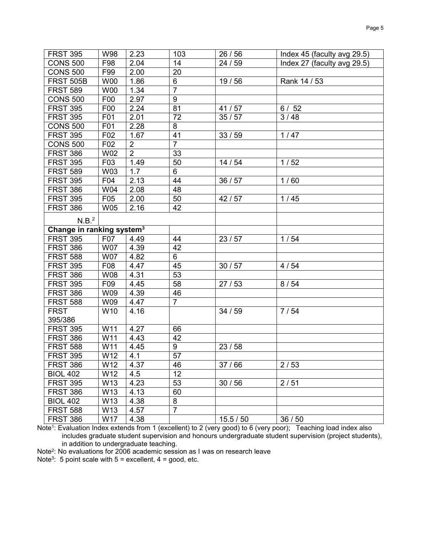| <b>FRST 395</b>                       | W98             | 2.23           | 103             | 26/56     | Index 45 (faculty avg 29.5) |
|---------------------------------------|-----------------|----------------|-----------------|-----------|-----------------------------|
| <b>CONS 500</b>                       | F98             | 2.04           | 14              | 24 / 59   | Index 27 (faculty avg 29.5) |
| <b>CONS 500</b>                       | F99             | 2.00           | 20              |           |                             |
| <b>FRST 505B</b>                      | <b>W00</b>      | 1.86           | 6               | 19/56     | Rank 14 / 53                |
| <b>FRST 589</b>                       | <b>W00</b>      | 1.34           | $\overline{7}$  |           |                             |
| <b>CONS 500</b>                       | F00             | 2.97           | $\overline{9}$  |           |                             |
| <b>FRST 395</b>                       | F <sub>00</sub> | 2.24           | 81              | 41/57     | 6/52                        |
| <b>FRST 395</b>                       | F01             | 2.01           | 72              | 35/57     | 3/48                        |
| <b>CONS 500</b>                       | F01             | 2.28           | 8               |           |                             |
| <b>FRST 395</b>                       | F02             | 1.67           | 41              | 33/59     | $1/47$                      |
| <b>CONS 500</b>                       | F02             | $\overline{2}$ | $\overline{7}$  |           |                             |
| <b>FRST 386</b>                       | <b>W02</b>      | $\overline{2}$ | 33              |           |                             |
| <b>FRST 395</b>                       | F03             | 1.49           | 50              | 14/54     | 1/52                        |
| <b>FRST 589</b>                       | W03             | 1.7            | $6\phantom{a}$  |           |                             |
| <b>FRST 395</b>                       | F04             | 2.13           | 44              | 36/57     | 1/60                        |
| <b>FRST 386</b>                       | W04             | 2.08           | 48              |           |                             |
| <b>FRST 395</b>                       | F05             | 2.00           | 50              | 42/57     | 1/45                        |
| <b>FRST 386</b>                       | <b>W05</b>      | 2.16           | 42              |           |                             |
| N.B. <sup>2</sup>                     |                 |                |                 |           |                             |
| Change in ranking system <sup>3</sup> |                 |                |                 |           |                             |
| <b>FRST 395</b>                       | F07             | 4.49           | 44              | 23/57     | 1/54                        |
| <b>FRST 386</b>                       | <b>W07</b>      | 4.39           | 42              |           |                             |
| <b>FRST 588</b>                       | <b>W07</b>      | 4.82           | $6\phantom{a}$  |           |                             |
| <b>FRST 395</b>                       | F08             | 4.47           | 45              | 30/57     | 4/54                        |
| <b>FRST 386</b>                       | W08             | 4.31           | $\overline{53}$ |           |                             |
| <b>FRST 395</b>                       | F <sub>09</sub> | 4.45           | 58              | 27/53     | 8/54                        |
| <b>FRST 386</b>                       | W09             | 4.39           | 46              |           |                             |
| <b>FRST 588</b>                       | W09             | 4.47           | $\overline{7}$  |           |                             |
| <b>FRST</b>                           | W10             | 4.16           |                 | 34/59     | 7/54                        |
| 395/386                               |                 |                |                 |           |                             |
| <b>FRST 395</b>                       | W11             | 4.27           | 66              |           |                             |
| <b>FRST 386</b>                       | W11             | 4.43           | 42              |           |                             |
| <b>FRST 588</b>                       | W11             | 4.45           | 9               | 23/58     |                             |
| <b>FRST 395</b>                       | W12             | 4.1            | $\overline{57}$ |           |                             |
| <b>FRST 386</b>                       | W12             | 4.37           | 46              | 37/66     | 2/53                        |
| <b>BIOL 402</b>                       | W12             | 4.5            | 12              |           |                             |
| <b>FRST 395</b>                       | W13             | 4.23           | 53              | 30/56     | 2/51                        |
| <b>FRST 386</b>                       | W13             | 4.13           | 60              |           |                             |
| <b>BIOL 402</b>                       | W13             | 4.38           | 8               |           |                             |
| <b>FRST 588</b>                       | W13             | 4.57           | $\overline{7}$  |           |                             |
| <b>FRST 386</b>                       | W17             | 4.38           |                 | 15.5 / 50 | 36/50                       |

Note1: Evaluation Index extends from 1 (excellent) to 2 (very good) to 6 (very poor); Teaching load index also includes graduate student supervision and honours undergraduate student supervision (project students), in addition to undergraduate teaching.

Note2: No evaluations for 2006 academic session as I was on research leave

Note<sup>3</sup>: 5 point scale with  $5 =$  excellent,  $4 =$  good, etc.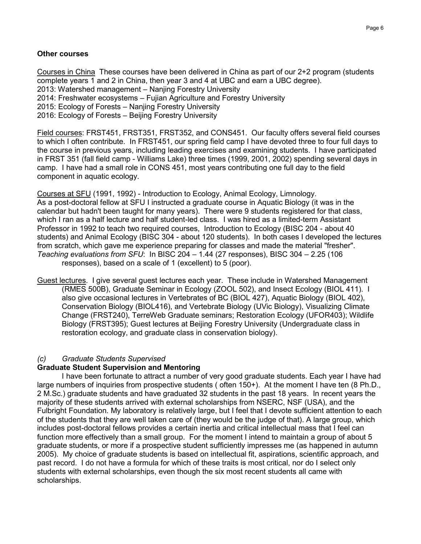## **Other courses**

Courses in China These courses have been delivered in China as part of our 2+2 program (students complete years 1 and 2 in China, then year 3 and 4 at UBC and earn a UBC degree). 2013: Watershed management – Nanjing Forestry University 2014: Freshwater ecosystems – Fujian Agriculture and Forestry University 2015: Ecology of Forests – Nanjing Forestry University 2016: Ecology of Forests – Beijing Forestry University

Field courses: FRST451, FRST351, FRST352, and CONS451. Our faculty offers several field courses to which I often contribute. In FRST451, our spring field camp I have devoted three to four full days to the course in previous years, including leading exercises and examining students. I have participated in FRST 351 (fall field camp - Williams Lake) three times (1999, 2001, 2002) spending several days in camp. I have had a small role in CONS 451, most years contributing one full day to the field component in aquatic ecology.

*<sup>U</sup>*Courses at SFU*<sup>U</sup>* (1991, 1992) - Introduction to Ecology, Animal Ecology, Limnology. As a post-doctoral fellow at SFU I instructed a graduate course in Aquatic Biology (it was in the calendar but hadn't been taught for many years). There were 9 students registered for that class, which I ran as a half lecture and half student-led class. I was hired as a limited-term Assistant Professor in 1992 to teach two required courses, Introduction to Ecology (BISC 204 - about 40 students) and Animal Ecology (BISC 304 - about 120 students). In both cases I developed the lectures from scratch, which gave me experience preparing for classes and made the material "fresher". *Teaching evaluations from SFU*: In BISC 204 – 1.44 (27 responses), BISC 304 – 2.25 (106 responses), based on a scale of 1 (excellent) to 5 (poor).

Guest lectures. I give several quest lectures each year. These include in Watershed Management (RMES 500B), Graduate Seminar in Ecology (ZOOL 502), and Insect Ecology (BIOL 411). I also give occasional lectures in Vertebrates of BC (BIOL 427), Aquatic Biology (BIOL 402), Conservation Biology (BIOL416), and Vertebrate Biology (UVic Biology), Visualizing Climate Change (FRST240), TerreWeb Graduate seminars; Restoration Ecology (UFOR403); Wildlife Biology (FRST395); Guest lectures at Beijing Forestry University (Undergraduate class in restoration ecology, and graduate class in conservation biology).

#### *(c) Graduate Students Supervised*

#### *24B***Graduate Student Supervision and Mentoring**

I have been fortunate to attract a number of very good graduate students. Each year I have had large numbers of inquiries from prospective students ( often 150+). At the moment I have ten (8 Ph.D., 2 M.Sc.) graduate students and have graduated 32 students in the past 18 years. In recent years the majority of these students arrived with external scholarships from NSERC, NSF (USA), and the Fulbright Foundation. My laboratory is relatively large, but I feel that I devote sufficient attention to each of the students that they are well taken care of (they would be the judge of that). A large group, which includes post-doctoral fellows provides a certain inertia and critical intellectual mass that I feel can function more effectively than a small group. For the moment I intend to maintain a group of about 5 graduate students, or more if a prospective student sufficiently impresses me (as happened in autumn 2005). My choice of graduate students is based on intellectual fit, aspirations, scientific approach, and past record. I do not have a formula for which of these traits is most critical, nor do I select only students with external scholarships, even though the six most recent students all came with scholarships.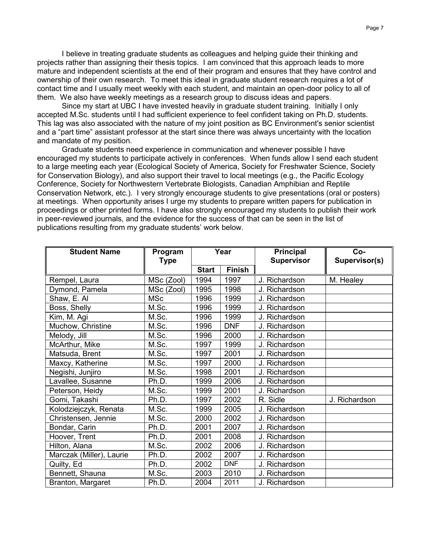I believe in treating graduate students as colleagues and helping guide their thinking and projects rather than assigning their thesis topics. I am convinced that this approach leads to more mature and independent scientists at the end of their program and ensures that they have control and ownership of their own research. To meet this ideal in graduate student research requires a lot of contact time and I usually meet weekly with each student, and maintain an open-door policy to all of them. We also have weekly meetings as a research group to discuss ideas and papers.

Since my start at UBC I have invested heavily in graduate student training. Initially I only accepted M.Sc. students until I had sufficient experience to feel confident taking on Ph.D. students. This lag was also associated with the nature of my joint position as BC Environment's senior scientist and a "part time" assistant professor at the start since there was always uncertainty with the location and mandate of my position.

Graduate students need experience in communication and whenever possible I have encouraged my students to participate actively in conferences. When funds allow I send each student to a large meeting each year (Ecological Society of America, Society for Freshwater Science, Society for Conservation Biology), and also support their travel to local meetings (e.g., the Pacific Ecology Conference, Society for Northwestern Vertebrate Biologists, Canadian Amphibian and Reptile Conservation Network, etc.). I very strongly encourage students to give presentations (oral or posters) at meetings. When opportunity arises I urge my students to prepare written papers for publication in proceedings or other printed forms. I have also strongly encouraged my students to publish their work in peer-reviewed journals, and the evidence for the success of that can be seen in the list of publications resulting from my graduate students' work below.

| <b>Student Name</b>      | Program<br><b>Type</b> | Year         |               | Principal<br><b>Supervisor</b> | Co-<br>Supervisor(s) |
|--------------------------|------------------------|--------------|---------------|--------------------------------|----------------------|
|                          |                        | <b>Start</b> | <b>Finish</b> |                                |                      |
| Rempel, Laura            | MSc (Zool)             | 1994         | 1997          | J. Richardson                  | M. Healey            |
| Dymond, Pamela           | MSc (Zool)             | 1995         | 1998          | J. Richardson                  |                      |
| Shaw, E. Al              | <b>MSc</b>             | 1996         | 1999          | J. Richardson                  |                      |
| Boss, Shelly             | M.Sc.                  | 1996         | 1999          | J. Richardson                  |                      |
| Kim, M. Agi              | M.Sc.                  | 1996         | 1999          | J. Richardson                  |                      |
| Muchow, Christine        | M.Sc.                  | 1996         | <b>DNF</b>    | J. Richardson                  |                      |
| Melody, Jill             | M.Sc.                  | 1996         | 2000          | J. Richardson                  |                      |
| McArthur, Mike           | M.Sc.                  | 1997         | 1999          | J. Richardson                  |                      |
| Matsuda, Brent           | M.Sc.                  | 1997         | 2001          | J. Richardson                  |                      |
| Maxcy, Katherine         | M.Sc.                  | 1997         | 2000          | J. Richardson                  |                      |
| Negishi, Junjiro         | M.Sc.                  | 1998         | 2001          | J. Richardson                  |                      |
| Lavallee, Susanne        | Ph.D.                  | 1999         | 2006          | J. Richardson                  |                      |
| Peterson, Heidy          | M.Sc.                  | 1999         | 2001          | J. Richardson                  |                      |
| Gomi, Takashi            | Ph.D.                  | 1997         | 2002          | R. Sidle                       | J. Richardson        |
| Kolodziejczyk, Renata    | M.Sc.                  | 1999         | 2005          | J. Richardson                  |                      |
| Christensen, Jennie      | M.Sc.                  | 2000         | 2002          | J. Richardson                  |                      |
| Bondar, Carin            | Ph.D.                  | 2001         | 2007          | J. Richardson                  |                      |
| Hoover, Trent            | Ph.D.                  | 2001         | 2008          | J. Richardson                  |                      |
| Hilton, Alana            | M.Sc.                  | 2002         | 2006          | J. Richardson                  |                      |
| Marczak (Miller), Laurie | Ph.D.                  | 2002         | 2007          | J. Richardson                  |                      |
| Quilty, Ed               | Ph.D.                  | 2002         | <b>DNF</b>    | J. Richardson                  |                      |
| Bennett, Shauna          | M.Sc.                  | 2003         | 2010          | J. Richardson                  |                      |
| Branton, Margaret        | Ph.D.                  | 2004         | 2011          | J. Richardson                  |                      |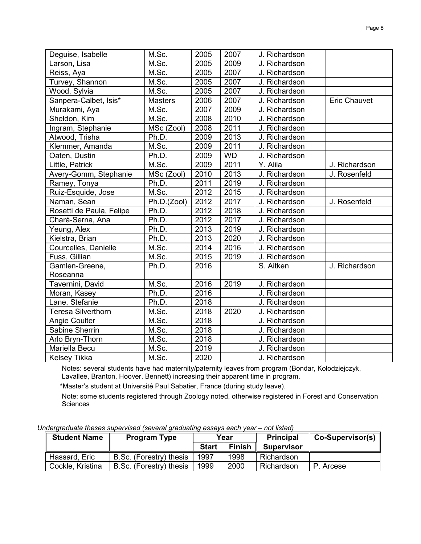| Deguise, Isabelle         | M.Sc.       | 2005 | 2007      | J. Richardson |                     |
|---------------------------|-------------|------|-----------|---------------|---------------------|
| Larson, Lisa              | M.Sc.       | 2005 | 2009      | J. Richardson |                     |
| Reiss, Aya                | M.Sc.       | 2005 | 2007      | J. Richardson |                     |
| Turvey, Shannon           | M.Sc.       | 2005 | 2007      | J. Richardson |                     |
| Wood, Sylvia              | M.Sc.       | 2005 | 2007      | J. Richardson |                     |
| Sanpera-Calbet, Isis*     | Masters     | 2006 | 2007      | J. Richardson | <b>Eric Chauvet</b> |
| Murakami, Aya             | M.Sc.       | 2007 | 2009      | J. Richardson |                     |
| Sheldon, Kim              | M.Sc.       | 2008 | 2010      | J. Richardson |                     |
| Ingram, Stephanie         | MSc (Zool)  | 2008 | 2011      | J. Richardson |                     |
| Atwood, Trisha            | Ph.D.       | 2009 | 2013      | J. Richardson |                     |
| Klemmer, Amanda           | M.Sc.       | 2009 | 2011      | J. Richardson |                     |
| Oaten, Dustin             | Ph.D.       | 2009 | <b>WD</b> | J. Richardson |                     |
| Little, Patrick           | M.Sc.       | 2009 | 2011      | Y. Alila      | J. Richardson       |
| Avery-Gomm, Stephanie     | MSc (Zool)  | 2010 | 2013      | J. Richardson | J. Rosenfeld        |
| Ramey, Tonya              | Ph.D.       | 2011 | 2019      | J. Richardson |                     |
| Ruiz-Esquide, Jose        | M.Sc.       | 2012 | 2015      | J. Richardson |                     |
| Naman, Sean               | Ph.D.(Zool) | 2012 | 2017      | J. Richardson | J. Rosenfeld        |
| Rosetti de Paula, Felipe  | Ph.D.       | 2012 | 2018      | J. Richardson |                     |
| Chará-Serna, Ana          | Ph.D.       | 2012 | 2017      | J. Richardson |                     |
| Yeung, Alex               | Ph.D.       | 2013 | 2019      | J. Richardson |                     |
| Kielstra, Brian           | Ph.D.       | 2013 | 2020      | J. Richardson |                     |
| Courcelles, Danielle      | M.Sc.       | 2014 | 2016      | J. Richardson |                     |
| Fuss, Gillian             | M.Sc.       | 2015 | 2019      | J. Richardson |                     |
| Gamlen-Greene,            | Ph.D.       | 2016 |           | S. Aitken     | J. Richardson       |
| Roseanna                  |             |      |           |               |                     |
| Tavernini, David          | M.Sc.       | 2016 | 2019      | J. Richardson |                     |
| Moran, Kasey              | Ph.D.       | 2016 |           | J. Richardson |                     |
| Lane, Stefanie            | Ph.D.       | 2018 |           | J. Richardson |                     |
| <b>Teresa Silverthorn</b> | M.Sc.       | 2018 | 2020      | J. Richardson |                     |
| <b>Angie Coulter</b>      | M.Sc.       | 2018 |           | J. Richardson |                     |
| Sabine Sherrin            | M.Sc.       | 2018 |           | J. Richardson |                     |
| Arlo Bryn-Thorn           | M.Sc.       | 2018 |           | J. Richardson |                     |
| Mariella Becu             | M.Sc.       | 2019 |           | J. Richardson |                     |
| <b>Kelsey Tikka</b>       | M.Sc.       | 2020 |           | J. Richardson |                     |

Notes: several students have had maternity/paternity leaves from program (Bondar, Kolodziejczyk, Lavallee, Branton, Hoover, Bennett) increasing their apparent time in program.

\*Master's student at Université Paul Sabatier, France (during study leave).

Note: some students registered through Zoology noted, otherwise registered in Forest and Conservation **Sciences** 

| <b>Student Name</b> | <b>Program Type</b>     | Year         |               | <b>Principal</b>  | Co-Supervisor(s) |
|---------------------|-------------------------|--------------|---------------|-------------------|------------------|
|                     |                         | <b>Start</b> | <b>Finish</b> | <b>Supervisor</b> |                  |
| Hassard, Eric       | B.Sc. (Forestry) thesis | 1997         | 1998          | Richardson        |                  |
| Cockle, Kristina    | B.Sc. (Forestry) thesis | 1999         | 2000          | Richardson        | P. Arcese        |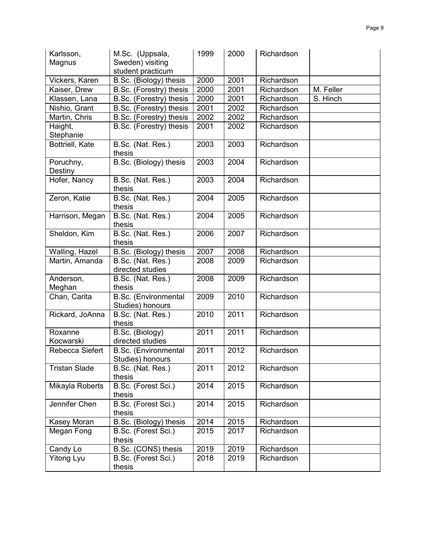| Karlsson,              | M.Sc. (Uppsala,                                 | 1999 | 2000 | Richardson |           |
|------------------------|-------------------------------------------------|------|------|------------|-----------|
| Magnus                 | Sweden) visiting                                |      |      |            |           |
|                        | student practicum                               |      |      |            |           |
| Vickers, Karen         | B.Sc. (Biology) thesis                          | 2000 | 2001 | Richardson |           |
| Kaiser, Drew           | B.Sc. (Forestry) thesis                         | 2000 | 2001 | Richardson | M. Feller |
| Klassen, Lana          | B.Sc. (Forestry) thesis                         | 2000 | 2001 | Richardson | S. Hinch  |
| Nishio, Grant          | B.Sc. (Forestry) thesis                         | 2001 | 2002 | Richardson |           |
| Martin, Chris          | B.Sc. (Forestry) thesis                         | 2002 | 2002 | Richardson |           |
| Haight,<br>Stephanie   | B.Sc. (Forestry) thesis                         | 2001 | 2002 | Richardson |           |
| <b>Bottriell, Kate</b> | B.Sc. (Nat. Res.)<br>thesis                     | 2003 | 2003 | Richardson |           |
| Poruchny,<br>Destiny   | B.Sc. (Biology) thesis                          | 2003 | 2004 | Richardson |           |
| Hofer, Nancy           | B.Sc. (Nat. Res.)<br>thesis                     | 2003 | 2004 | Richardson |           |
| Zeron, Katie           | B.Sc. (Nat. Res.)<br>thesis                     | 2004 | 2005 | Richardson |           |
| Harrison, Megan        | B.Sc. (Nat. Res.)<br>thesis                     | 2004 | 2005 | Richardson |           |
| Sheldon, Kim           | B.Sc. (Nat. Res.)<br>thesis                     | 2006 | 2007 | Richardson |           |
| Walling, Hazel         | B.Sc. (Biology) thesis                          | 2007 | 2008 | Richardson |           |
| Martin, Amanda         | B.Sc. (Nat. Res.)<br>directed studies           | 2008 | 2009 | Richardson |           |
| Anderson,              | B.Sc. (Nat. Res.)                               | 2008 | 2009 | Richardson |           |
| Meghan                 | thesis                                          |      |      |            |           |
| Chan, Carita           | <b>B.Sc.</b> (Environmental<br>Studies) honours | 2009 | 2010 | Richardson |           |
| Rickard, JoAnna        | B.Sc. (Nat. Res.)<br>thesis                     | 2010 | 2011 | Richardson |           |
| Roxanne<br>Kocwarski   | B.Sc. (Biology)<br>directed studies             | 2011 | 2011 | Richardson |           |
| Rebecca Siefert        | <b>B.Sc.</b> (Environmental<br>Studies) honours | 2011 | 2012 | Richardson |           |
| <b>Tristan Slade</b>   | B.Sc. (Nat. Res.)<br>thesis                     | 2011 | 2012 | Richardson |           |
| Mikayla Roberts        | B.Sc. (Forest Sci.)<br>thesis                   | 2014 | 2015 | Richardson |           |
| Jennifer Chen          | B.Sc. (Forest Sci.)<br>thesis                   | 2014 | 2015 | Richardson |           |
| Kasey Moran            | B.Sc. (Biology) thesis                          | 2014 | 2015 | Richardson |           |
| Megan Fong             | B.Sc. (Forest Sci.)<br>thesis                   | 2015 | 2017 | Richardson |           |
| Candy Lo               | B.Sc. (CONS) thesis                             | 2019 | 2019 | Richardson |           |
| <b>Yitong Lyu</b>      | B.Sc. (Forest Sci.)<br>thesis                   | 2018 | 2019 | Richardson |           |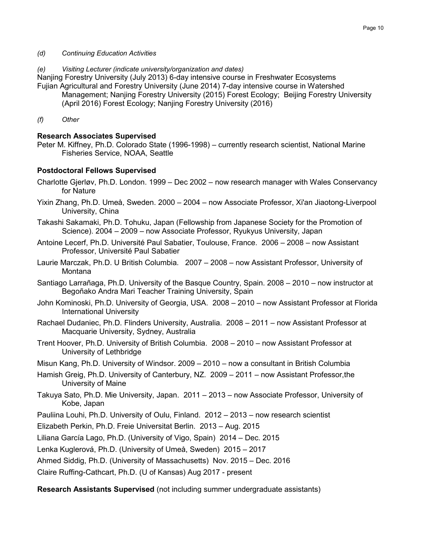- *(d) Continuing Education Activities*
- *(e) Visiting Lecturer (indicate university/organization and dates)*

Nanjing Forestry University (July 2013) 6-day intensive course in Freshwater Ecosystems Fujian Agricultural and Forestry University (June 2014) 7-day intensive course in Watershed Management; Nanjing Forestry University (2015) Forest Ecology; Beijing Forestry University (April 2016) Forest Ecology; Nanjing Forestry University (2016)

*(f) Other*

## *17B***Research Associates Supervised**

Peter M. Kiffney, Ph.D. Colorado State (1996-1998) – currently research scientist, National Marine Fisheries Service, NOAA, Seattle

#### *18B***Postdoctoral Fellows Supervised**

- Charlotte Gjerløv, Ph.D. London. 1999 Dec 2002 now research manager with Wales Conservancy for Nature
- Yixin Zhang, Ph.D. Umeå, Sweden. 2000 2004 now Associate Professor, Xi'an Jiaotong-Liverpool University, China
- Takashi Sakamaki, Ph.D. Tohuku, Japan (Fellowship from Japanese Society for the Promotion of Science). 2004 – 2009 – now Associate Professor, Ryukyus University, Japan
- Antoine Lecerf, Ph.D. Université Paul Sabatier, Toulouse, France. 2006 2008 now Assistant Professor, Université Paul Sabatier
- Laurie Marczak, Ph.D. U British Columbia. 2007 2008 now Assistant Professor, University of Montana
- Santiago Larrañaga, Ph.D. University of the Basque Country, Spain. 2008 2010 now instructor at Begoñako Andra Mari Teacher Training University, Spain
- John Kominoski, Ph.D. University of Georgia, USA. 2008 2010 now Assistant Professor at Florida International University
- Rachael Dudaniec, Ph.D. Flinders University, Australia. 2008 2011 now Assistant Professor at Macquarie University, Sydney, Australia
- Trent Hoover, Ph.D. University of British Columbia. 2008 2010 now Assistant Professor at University of Lethbridge
- Misun Kang, Ph.D. University of Windsor. 2009 2010 now a consultant in British Columbia
- Hamish Greig, Ph.D. University of Canterbury, NZ. 2009 2011 now Assistant Professor,the University of Maine
- Takuya Sato, Ph.D. Mie University, Japan. 2011 2013 now Associate Professor, University of Kobe, Japan
- Pauliina Louhi, Ph.D. University of Oulu, Finland. 2012 2013 now research scientist

Elizabeth Perkin, Ph.D. Freie Universitat Berlin. 2013 – Aug. 2015

Liliana García Lago, Ph.D. (University of Vigo, Spain) 2014 – Dec. 2015

Lenka Kuglerová, Ph.D. (University of Umeå, Sweden) 2015 – 2017

Ahmed Siddig, Ph.D. (University of Massachusetts) Nov. 2015 – Dec. 2016

Claire Ruffing-Cathcart, Ph.D. (U of Kansas) Aug 2017 - present

**Research Assistants Supervised** (not including summer undergraduate assistants)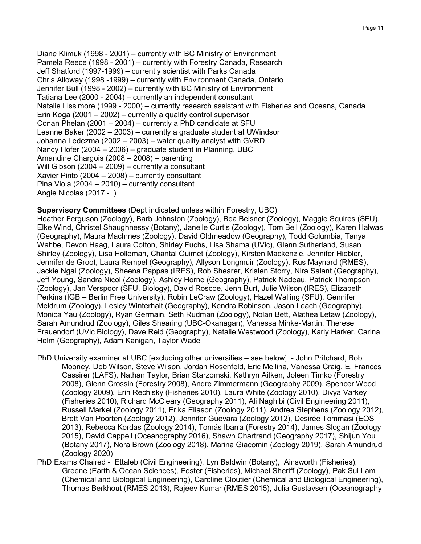Diane Klimuk (1998 - 2001) – currently with BC Ministry of Environment Pamela Reece (1998 - 2001) – currently with Forestry Canada, Research Jeff Shatford (1997-1999) – currently scientist with Parks Canada Chris Alloway (1998 -1999) – currently with Environment Canada, Ontario Jennifer Bull (1998 - 2002) – currently with BC Ministry of Environment Tatiana Lee (2000 - 2004) – currently an independent consultant Natalie Lissimore (1999 - 2000) – currently research assistant with Fisheries and Oceans, Canada Erin Koga (2001 – 2002) – currently a quality control supervisor Conan Phelan (2001 – 2004) – currently a PhD candidate at SFU Leanne Baker (2002 – 2003) – currently a graduate student at UWindsor Johanna Ledezma (2002 – 2003) – water quality analyst with GVRD Nancy Hofer (2004 – 2006) – graduate student in Planning, UBC Amandine Chargois (2008 – 2008) – parenting Will Gibson (2004 – 2009) – currently a consultant Xavier Pinto (2004 – 2008) – currently consultant Pina Viola (2004 – 2010) – currently consultant Angie Nicolas (2017 - )

**Supervisory Committees** (Dept indicated unless within Forestry, UBC)

Heather Ferguson (Zoology), Barb Johnston (Zoology), Bea Beisner (Zoology), Maggie Squires (SFU), Elke Wind, Christel Shaughnessy (Botany), Janelle Curtis (Zoology), Tom Bell (Zoology), Karen Halwas (Geography), Maura MacInnes (Zoology), David Oldmeadow (Geography), Todd Golumbia, Tanya Wahbe, Devon Haag, Laura Cotton, Shirley Fuchs, Lisa Shama (UVic), Glenn Sutherland, Susan Shirley (Zoology), Lisa Holleman, Chantal Ouimet (Zoology), Kirsten Mackenzie, Jennifer Hiebler, Jennifer de Groot, Laura Rempel (Geography), Allyson Longmuir (Zoology), Rus Maynard (RMES), Jackie Ngai (Zoology), Sheena Pappas (IRES), Rob Shearer, Kristen Storry, Nira Salant (Geography), Jeff Young, Sandra Nicol (Zoology), Ashley Horne (Geography), Patrick Nadeau, Patrick Thompson (Zoology), Jan Verspoor (SFU, Biology), David Roscoe, Jenn Burt, Julie Wilson (IRES), Elizabeth Perkins (IGB – Berlin Free University), Robin LeCraw (Zoology), Hazel Walling (SFU), Gennifer Meldrum (Zoology), Lesley Winterhalt (Geography), Kendra Robinson, Jason Leach (Geography), Monica Yau (Zoology), Ryan Germain, Seth Rudman (Zoology), Nolan Bett, Alathea Letaw (Zoology), Sarah Amundrud (Zoology), Giles Shearing (UBC-Okanagan), Vanessa Minke-Martin, Therese Frauendorf (UVic Biology), Dave Reid (Geography), Natalie Westwood (Zoology), Karly Harker, Carina Helm (Geography), Adam Kanigan, Taylor Wade

- PhD University examiner at UBC [excluding other universities see below] John Pritchard, Bob Mooney, Deb Wilson, Steve Wilson, Jordan Rosenfeld, Eric Mellina, Vanessa Craig, E. Frances Cassirer (LAFS), Nathan Taylor, Brian Starzomski, Kathryn Aitken, Joleen Timko (Forestry 2008), Glenn Crossin (Forestry 2008), Andre Zimmermann (Geography 2009), Spencer Wood (Zoology 2009), Erin Rechisky (Fisheries 2010), Laura White (Zoology 2010), Divya Varkey (Fisheries 2010), Richard McCleary (Geography 2011), Ali Naghibi (Civil Engineering 2011), Russell Markel (Zoology 2011), Erika Eliason (Zoology 2011), Andrea Stephens (Zoology 2012), Brett Van Poorten (Zoology 2012), Jennifer Guevara (Zoology 2012), Desirée Tommasi (EOS 2013), Rebecca Kordas (Zoology 2014), Tomás Ibarra (Forestry 2014), James Slogan (Zoology 2015), David Cappell (Oceanography 2016), Shawn Chartrand (Geography 2017), Shijun You (Botany 2017), Nora Brown (Zoology 2018), Marina Giacomin (Zoology 2019), Sarah Amundrud (Zoology 2020)
- PhD Exams Chaired Ettaleb (Civil Engineering), Lyn Baldwin (Botany), Ainsworth (Fisheries), Greene (Earth & Ocean Sciences), Foster (Fisheries), Michael Sheriff (Zoology), Pak Sui Lam (Chemical and Biological Engineering), Caroline Cloutier (Chemical and Biological Engineering), Thomas Berkhout (RMES 2013), Rajeev Kumar (RMES 2015), Julia Gustavsen (Oceanography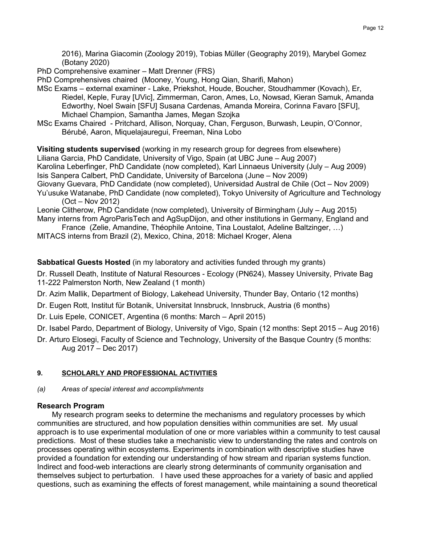2016), Marina Giacomin (Zoology 2019), Tobias Müller (Geography 2019), Marybel Gomez (Botany 2020)

PhD Comprehensive examiner – Matt Drenner (FRS)

PhD Comprehensives chaired (Mooney, Young, Hong Qian, Sharifi, Mahon)

- MSc Exams external examiner Lake, Priekshot, Houde, Boucher, Stoudhammer (Kovach), Er, Riedel, Keple, Furay [UVic], Zimmerman, Caron, Ames, Lo, Nowsad, Kieran Samuk, Amanda Edworthy, Noel Swain [SFU] Susana Cardenas, Amanda Moreira, Corinna Favaro [SFU], Michael Champion, Samantha James, Megan Szojka
- MSc Exams Chaired Pritchard, Allison, Norquay, Chan, Ferguson, Burwash, Leupin, O'Connor, Bérubé, Aaron, Miquelajauregui, Freeman, Nina Lobo

**Visiting students supervised** (working in my research group for degrees from elsewhere) Liliana Garcia, PhD Candidate, University of Vigo, Spain (at UBC June – Aug 2007) Karolina Leberfinger, PhD Candidate (now completed), Karl Linnaeus University (July – Aug 2009) Isis Sanpera Calbert, PhD Candidate, University of Barcelona (June – Nov 2009) Giovany Guevara, PhD Candidate (now completed), Universidad Austral de Chile (Oct – Nov 2009)

Yu'usuke Watanabe, PhD Candidate (now completed), Tokyo University of Agriculture and Technology (Oct – Nov 2012)

Leonie Clitherow, PhD Candidate (now completed), University of Birmingham (July – Aug 2015) Many interns from AgroParisTech and AgSupDijon, and other institutions in Germany, England and

France (Zelie, Amandine, Théophile Antoine, Tina Loustalot, Adeline Baltzinger, …) MITACS interns from Brazil (2), Mexico, China, 2018: Michael Kroger, Alena

**20BSabbatical Guests Hosted** (in my laboratory and activities funded through my grants)

- Dr. Russell Death, Institute of Natural Resources Ecology (PN624), Massey University, Private Bag 11-222 Palmerston North, New Zealand (1 month)
- Dr. Azim Mallik, Department of Biology, Lakehead University, Thunder Bay, Ontario (12 months)
- Dr. Eugen Rott, Institut für Botanik, Universitat Innsbruck, Innsbruck, Austria (6 months)
- Dr. Luis Epele, CONICET, Argentina (6 months: March April 2015)
- Dr. Isabel Pardo, Department of Biology, University of Vigo, Spain (12 months: Sept 2015 Aug 2016)
- Dr. Arturo Elosegi, Faculty of Science and Technology, University of the Basque Country (5 months: Aug 2017 – Dec 2017)

#### **9.** *<sup>U</sup>***SCHOLARLY AND PROFESSIONAL ACTIVITIES**

*(a) Areas of special interest and accomplishments*

#### *21B***Research Program**

My research program seeks to determine the mechanisms and regulatory processes by which communities are structured, and how population densities within communities are set. My usual approach is to use experimental modulation of one or more variables within a community to test causal predictions. Most of these studies take a mechanistic view to understanding the rates and controls on processes operating within ecosystems. Experiments in combination with descriptive studies have provided a foundation for extending our understanding of how stream and riparian systems function. Indirect and food-web interactions are clearly strong determinants of community organisation and themselves subject to perturbation. I have used these approaches for a variety of basic and applied questions, such as examining the effects of forest management, while maintaining a sound theoretical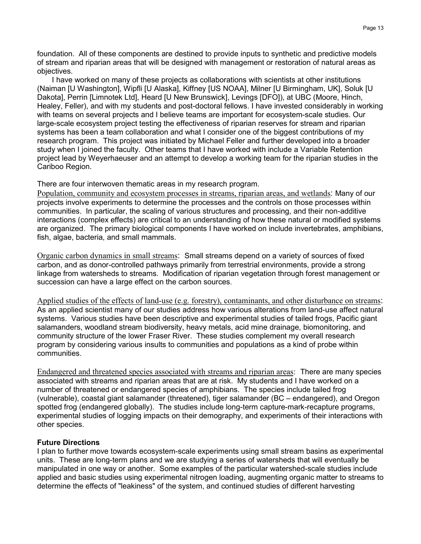foundation. All of these components are destined to provide inputs to synthetic and predictive models of stream and riparian areas that will be designed with management or restoration of natural areas as objectives.

I have worked on many of these projects as collaborations with scientists at other institutions (Naiman [U Washington], Wipfli [U Alaska], Kiffney [US NOAA], Milner [U Birmingham, UK], Soluk [U Dakota], Perrin [Limnotek Ltd], Heard [U New Brunswick], Levings [DFO]), at UBC (Moore, Hinch, Healey, Feller), and with my students and post-doctoral fellows. I have invested considerably in working with teams on several projects and I believe teams are important for ecosystem-scale studies. Our large-scale ecosystem project testing the effectiveness of riparian reserves for stream and riparian systems has been a team collaboration and what I consider one of the biggest contributions of my research program. This project was initiated by Michael Feller and further developed into a broader study when I joined the faculty. Other teams that I have worked with include a Variable Retention project lead by Weyerhaeuser and an attempt to develop a working team for the riparian studies in the Cariboo Region.

There are four interwoven thematic areas in my research program.

*Population, community and ecosystem processes in streams, riparian areas, and wetlands: Many of our* projects involve experiments to determine the processes and the controls on those processes within communities. In particular, the scaling of various structures and processing, and their non-additive interactions (complex effects) are critical to an understanding of how these natural or modified systems are organized. The primary biological components I have worked on include invertebrates, amphibians, fish, algae, bacteria, and small mammals.

*<u>Organic carbon dynamics in small streams</u>: Small streams depend on a variety of sources of fixed* carbon, and as donor-controlled pathways primarily from terrestrial environments, provide a strong linkage from watersheds to streams. Modification of riparian vegetation through forest management or succession can have a large effect on the carbon sources.

*Applied studies of the effects of land-use (e.g. forestry), contaminants, and other disturbance on streams:* As an applied scientist many of our studies address how various alterations from land-use affect natural systems. Various studies have been descriptive and experimental studies of tailed frogs, Pacific giant salamanders, woodland stream biodiversity, heavy metals, acid mine drainage, biomonitoring, and community structure of the lower Fraser River. These studies complement my overall research program by considering various insults to communities and populations as a kind of probe within communities.

*UE* Endangered and threatened species associated with streams and riparian areas: There are many species associated with streams and riparian areas that are at risk. My students and I have worked on a number of threatened or endangered species of amphibians. The species include tailed frog (vulnerable), coastal giant salamander (threatened), tiger salamander (BC – endangered), and Oregon spotted frog (endangered globally). The studies include long-term capture-mark-recapture programs, experimental studies of logging impacts on their demography, and experiments of their interactions with other species.

# *2B***Future Directions**

I plan to further move towards ecosystem-scale experiments using small stream basins as experimental units. These are long-term plans and we are studying a series of watersheds that will eventually be manipulated in one way or another. Some examples of the particular watershed-scale studies include applied and basic studies using experimental nitrogen loading, augmenting organic matter to streams to determine the effects of "leakiness" of the system, and continued studies of different harvesting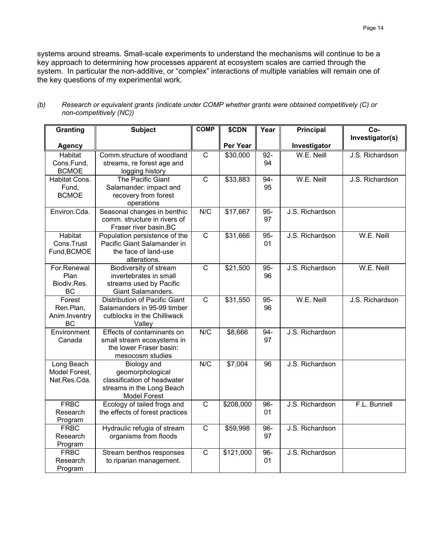systems around streams. Small-scale experiments to understand the mechanisms will continue to be a key approach to determining how processes apparent at ecosystem scales are carried through the system. In particular the non-additive, or "complex" interactions of multiple variables will remain one of the key questions of my experimental work.

| <b>Granting</b>               | <b>Subject</b>                                               | <b>COMP</b>           | \$CDN     | Year      | <b>Principal</b> | Co-             |
|-------------------------------|--------------------------------------------------------------|-----------------------|-----------|-----------|------------------|-----------------|
|                               |                                                              |                       |           |           |                  | Investigator(s) |
| <b>Agency</b>                 |                                                              |                       | Per Year  |           | Investigator     |                 |
| Habitat                       | Comm.structure of woodland                                   | $\mathsf{C}$          | \$30,000  | 92-       | W.E. Neill       | J.S. Richardson |
| Cons.Fund,                    | streams, re forest age and                                   |                       |           | 94        |                  |                 |
| <b>BCMOE</b>                  | logging history                                              |                       |           |           |                  |                 |
| Habitat Cons.                 | The Pacific Giant                                            | $\overline{C}$        | \$33,883  | 94-       | W.E. Neill       | J.S. Richardson |
| Fund,                         | Salamander: impact and                                       |                       |           | 95        |                  |                 |
| <b>BCMOE</b>                  | recovery from forest                                         |                       |           |           |                  |                 |
|                               | operations                                                   |                       |           |           |                  |                 |
| Environ.Cda.                  | Seasonal changes in benthic                                  | N/C                   | \$17,667  | 95-       | J.S. Richardson  |                 |
|                               | comm. structure in rivers of                                 |                       |           | 97        |                  |                 |
|                               | Fraser river basin, BC                                       |                       |           |           |                  |                 |
| <b>Habitat</b><br>Cons.Trust  | Population persistence of the<br>Pacific Giant Salamander in | $\overline{C}$        | \$31,666  | 95-<br>01 | J.S. Richardson  | W.E. Neill      |
| Fund, BCMOE                   | the face of land-use                                         |                       |           |           |                  |                 |
|                               | alterations.                                                 |                       |           |           |                  |                 |
| For.Renewal                   | Biodiversity of stream                                       | $\overline{\text{c}}$ | \$21,500  | 95-       | J.S. Richardson  | W.E. Neill      |
| Plan                          | invertebrates in small                                       |                       |           | 96        |                  |                 |
| Biodiv.Res.                   | streams used by Pacific                                      |                       |           |           |                  |                 |
| <b>BC</b>                     | <b>Giant Salamanders.</b>                                    |                       |           |           |                  |                 |
| $\overline{F}$ orest          | <b>Distribution of Pacific Giant</b>                         | $\overline{C}$        | \$31,550  | 95-       | W.E. Neill       | J.S. Richardson |
| Ren.Plan,                     | Salamanders in 95-99 timber                                  |                       |           | 96        |                  |                 |
| Anim.Inventry                 | cutblocks in the Chilliwack                                  |                       |           |           |                  |                 |
| ВC                            | Valley                                                       |                       |           |           |                  |                 |
| Environment                   | Effects of contaminants on                                   | N/C                   | \$8,666   | 94-       | J.S. Richardson  |                 |
| Canada                        | small stream ecosystems in                                   |                       |           | 97        |                  |                 |
|                               | the lower Fraser basin:                                      |                       |           |           |                  |                 |
|                               | mesocosm studies                                             |                       |           |           |                  |                 |
| Long Beach                    | Biology and                                                  | N/C                   | \$7,004   | 96        | J.S. Richardson  |                 |
| Model Forest,<br>Nat.Res.Cda. | geomorphological<br>classification of headwater              |                       |           |           |                  |                 |
|                               | streams in the Long Beach                                    |                       |           |           |                  |                 |
|                               | <b>Model Forest</b>                                          |                       |           |           |                  |                 |
| <b>FRBC</b>                   | Ecology of tailed frogs and                                  | $\overline{C}$        | \$208,000 | 96-       | J.S. Richardson  | F.L. Bunnell    |
| Research                      | the effects of forest practices                              |                       |           | 01        |                  |                 |
| Program                       |                                                              |                       |           |           |                  |                 |
| <b>FRBC</b>                   | Hydraulic refugia of stream                                  | $\overline{C}$        | \$59,998  | 96-       | J.S. Richardson  |                 |
| Research                      | organisms from floods                                        |                       |           | 97        |                  |                 |
| Program                       |                                                              |                       |           |           |                  |                 |
| <b>FRBC</b>                   | Stream benthos responses                                     | $\overline{\text{c}}$ | \$121,000 | 96-       | J.S. Richardson  |                 |
| Research                      | to riparian management.                                      |                       |           | 01        |                  |                 |
| Program                       |                                                              |                       |           |           |                  |                 |

*(b) Research or equivalent grants (indicate under COMP whether grants were obtained competitively (C) or non-competitively (NC))*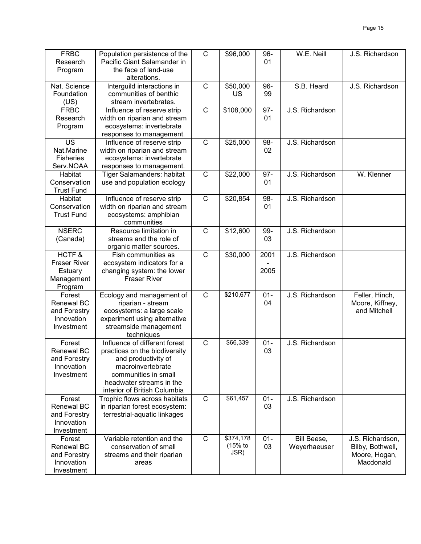| <b>FRBC</b><br>Research<br>Program                                      | Population persistence of the<br>Pacific Giant Salamander in<br>the face of land-use<br>alterations.                                                                                           | $\mathsf{C}$          | \$96,000                       | 96-<br>01    | W.E. Neill                  | J.S. Richardson                                                    |
|-------------------------------------------------------------------------|------------------------------------------------------------------------------------------------------------------------------------------------------------------------------------------------|-----------------------|--------------------------------|--------------|-----------------------------|--------------------------------------------------------------------|
| Nat. Science<br>Foundation<br>(US)                                      | Interguild interactions in<br>communities of benthic<br>stream invertebrates.                                                                                                                  | $\mathsf{C}$          | \$50,000<br>US                 | 96-<br>99    | S.B. Heard                  | J.S. Richardson                                                    |
| <b>FRBC</b><br>Research<br>Program                                      | Influence of reserve strip<br>width on riparian and stream<br>ecosystems: invertebrate<br>responses to management.                                                                             | $\overline{\text{c}}$ | \$108,000                      | $97 -$<br>01 | J.S. Richardson             |                                                                    |
| US<br>Nat.Marine<br><b>Fisheries</b><br>Serv.NOAA                       | Influence of reserve strip<br>width on riparian and stream<br>ecosystems: invertebrate<br>responses to management.                                                                             | $\mathsf{C}$          | \$25,000                       | 98-<br>02    | J.S. Richardson             |                                                                    |
| Habitat<br>Conservation<br><b>Trust Fund</b>                            | Tiger Salamanders: habitat<br>use and population ecology                                                                                                                                       | $\mathsf{C}$          | \$22,000                       | $97 -$<br>01 | J.S. Richardson             | W. Klenner                                                         |
| Habitat<br>Conservation<br><b>Trust Fund</b>                            | Influence of reserve strip<br>width on riparian and stream<br>ecosystems: amphibian<br>communities                                                                                             | $\overline{C}$        | \$20,854                       | 98-<br>01    | J.S. Richardson             |                                                                    |
| <b>NSERC</b><br>(Canada)                                                | Resource limitation in<br>streams and the role of<br>organic matter sources.                                                                                                                   | $\mathsf C$           | \$12,600                       | 99-<br>03    | J.S. Richardson             |                                                                    |
| HCTF&<br><b>Fraser River</b><br>Estuary<br>Management<br>Program        | Fish communities as<br>ecosystem indicators for a<br>changing system: the lower<br><b>Fraser River</b>                                                                                         | $\mathsf{C}$          | \$30,000                       | 2001<br>2005 | J.S. Richardson             |                                                                    |
| Forest<br><b>Renewal BC</b><br>and Forestry<br>Innovation<br>Investment | Ecology and management of<br>riparian - stream<br>ecosystems: a large scale<br>experiment using alternative<br>streamside management<br>techniques                                             | $\mathsf{C}$          | \$210,677                      | $01 -$<br>04 | J.S. Richardson             | Feller, Hinch,<br>Moore, Kiffney,<br>and Mitchell                  |
| Forest<br><b>Renewal BC</b><br>and Forestry<br>Innovation<br>Investment | Influence of different forest<br>practices on the biodiversity<br>and productivity of<br>macroinvertebrate<br>communities in small<br>headwater streams in the<br>interior of British Columbia | $\mathsf{C}$          | \$66,339                       | $01 -$<br>03 | J.S. Richardson             |                                                                    |
| Forest<br><b>Renewal BC</b><br>and Forestry<br>Innovation<br>Investment | Trophic flows across habitats<br>in riparian forest ecosystem:<br>terrestrial-aquatic linkages                                                                                                 | $\overline{C}$        | \$61,457                       | $01 -$<br>03 | J.S. Richardson             |                                                                    |
| Forest<br>Renewal BC<br>and Forestry<br>Innovation<br>Investment        | Variable retention and the<br>conservation of small<br>streams and their riparian<br>areas                                                                                                     | $\mathsf{C}$          | \$374,178<br>$(15%$ to<br>JSR) | $01 -$<br>03 | Bill Beese,<br>Weyerhaeuser | J.S. Richardson,<br>Bilby, Bothwell,<br>Moore, Hogan,<br>Macdonald |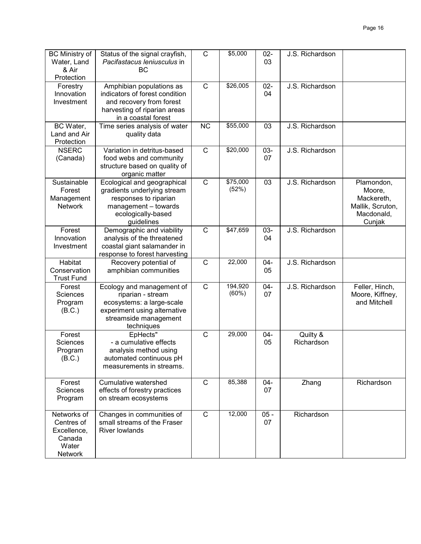| <b>BC Ministry of</b><br>Water, Land<br>& Air<br>Protection | Status of the signal crayfish,<br>Pacifastacus Ieniusculus in<br>ВC                                                                                | $\mathsf{C}$   | \$5,000           | $02 -$<br>03    | J.S. Richardson        |                                                                                |
|-------------------------------------------------------------|----------------------------------------------------------------------------------------------------------------------------------------------------|----------------|-------------------|-----------------|------------------------|--------------------------------------------------------------------------------|
| Forestry<br>Innovation<br>Investment                        | Amphibian populations as<br>indicators of forest condition<br>and recovery from forest<br>harvesting of riparian areas<br>in a coastal forest      | $\mathbf C$    | \$26,005          | $02 -$<br>04    | J.S. Richardson        |                                                                                |
| BC Water,<br>Land and Air<br>Protection                     | Time series analysis of water<br>quality data                                                                                                      | <b>NC</b>      | \$55,000          | 03              | J.S. Richardson        |                                                                                |
| <b>NSERC</b><br>(Canada)                                    | Variation in detritus-based<br>food webs and community<br>structure based on quality of<br>organic matter                                          | $\mathbf C$    | \$20,000          | $03 -$<br>07    | J.S. Richardson        |                                                                                |
| Sustainable<br>Forest<br>Management<br><b>Network</b>       | Ecological and geographical<br>gradients underlying stream<br>responses to riparian<br>management - towards<br>ecologically-based<br>guidelines    | $\overline{C}$ | \$75,000<br>(52%) | $\overline{03}$ | J.S. Richardson        | Plamondon,<br>Moore,<br>Mackereth,<br>Mallik, Scruton,<br>Macdonald,<br>Cunjak |
| Forest<br>Innovation<br>Investment                          | Demographic and viability<br>analysis of the threatened<br>coastal giant salamander in<br>response to forest harvesting                            | $\mathbf C$    | \$47,659          | $03 -$<br>04    | J.S. Richardson        |                                                                                |
| Habitat<br>Conservation<br><b>Trust Fund</b>                | Recovery potential of<br>amphibian communities                                                                                                     | $\overline{C}$ | 22,000            | $04 -$<br>05    | J.S. Richardson        |                                                                                |
| Forest<br><b>Sciences</b><br>Program<br>(B.C.)              | Ecology and management of<br>riparian - stream<br>ecosystems: a large-scale<br>experiment using alternative<br>streamside management<br>techniques | $\mathbf C$    | 194,920<br>(60%)  | $04 -$<br>07    | J.S. Richardson        | Feller, Hinch,<br>Moore, Kiffney,<br>and Mitchell                              |
| Forest<br><b>Sciences</b><br>Program<br>(B.C.)              | EpHects"<br>- a cumulative effects<br>analysis method using<br>automated continuous pH<br>measurements in streams.                                 | $\mathbf C$    | 29,000            | $04 -$<br>05    | Quilty &<br>Richardson |                                                                                |
| Forest<br>Sciences<br>Program                               | Cumulative watershed<br>effects of forestry practices<br>on stream ecosystems                                                                      | $\mathsf{C}$   | 85,388            | $04 -$<br>07    | Zhang                  | Richardson                                                                     |

 $C$  12,000 05 -

07

**Richardson** 

Networks of Centres of Excellence, Canada Water Network

**Changes in communities of** small streams of the Fraser

River lowlands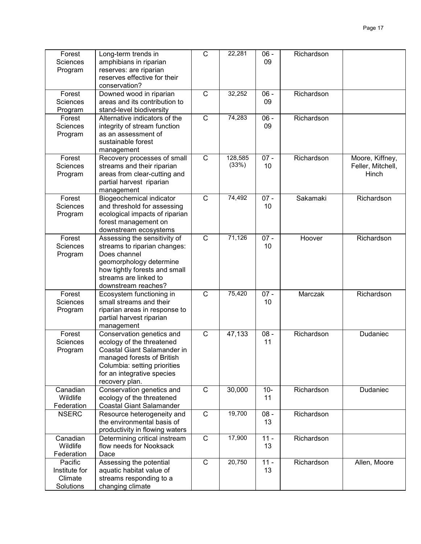| Forest<br><b>Sciences</b><br>Program<br>Forest   | Long-term trends in<br>amphibians in riparian<br>reserves: are riparian<br>reserves effective for their<br>conservation?<br>Downed wood in riparian                                                 | C<br>$\mathsf C$ | 22,281<br>32,252 | $06 -$<br>09<br>$06 -$ | Richardson<br>Richardson |                                               |
|--------------------------------------------------|-----------------------------------------------------------------------------------------------------------------------------------------------------------------------------------------------------|------------------|------------------|------------------------|--------------------------|-----------------------------------------------|
| <b>Sciences</b><br>Program                       | areas and its contribution to<br>stand-level biodiversity                                                                                                                                           |                  |                  | 09                     |                          |                                               |
| Forest<br><b>Sciences</b><br>Program             | Alternative indicators of the<br>integrity of stream function<br>as an assessment of<br>sustainable forest<br>management                                                                            | $\mathsf C$      | 74,283           | $06 -$<br>09           | Richardson               |                                               |
| Forest<br><b>Sciences</b><br>Program             | Recovery processes of small<br>streams and their riparian<br>areas from clear-cutting and<br>partial harvest riparian<br>management                                                                 | $\mathsf{C}$     | 128,585<br>(33%) | $07 -$<br>10           | Richardson               | Moore, Kiffney,<br>Feller, Mitchell,<br>Hinch |
| Forest<br>Sciences<br>Program                    | Biogeochemical indicator<br>and threshold for assessing<br>ecological impacts of riparian<br>forest management on<br>downstream ecosystems                                                          | $\mathsf{C}$     | 74,492           | $07 -$<br>10           | Sakamaki                 | Richardson                                    |
| Forest<br><b>Sciences</b><br>Program             | Assessing the sensitivity of<br>streams to riparian changes:<br>Does channel<br>geomorphology determine<br>how tightly forests and small<br>streams are linked to<br>downstream reaches?            | $\mathsf{C}$     | 71,126           | $07 -$<br>10           | Hoover                   | Richardson                                    |
| Forest<br><b>Sciences</b><br>Program             | Ecosystem functioning in<br>small streams and their<br>riparian areas in response to<br>partial harvest riparian<br>management                                                                      | $\mathsf{C}$     | 75,420           | $07 -$<br>10           | Marczak                  | Richardson                                    |
| Forest<br>Sciences<br>Program                    | Conservation genetics and<br>ecology of the threatened<br>Coastal Giant Salamander in<br>managed forests of British<br>Columbia: setting priorities<br>for an integrative species<br>recovery plan. | $\mathsf C$      | 47,133           | $08 -$<br>11           | Richardson               | Dudaniec                                      |
| Canadian<br>Wildlife<br>Federation               | Conservation genetics and<br>ecology of the threatened<br><b>Coastal Giant Salamander</b>                                                                                                           | $\mathsf{C}$     | 30,000           | $10-$<br>11            | Richardson               | Dudaniec                                      |
| <b>NSERC</b>                                     | Resource heterogeneity and<br>the environmental basis of<br>productivity in flowing waters                                                                                                          | $\mathsf{C}$     | 19,700           | $08 -$<br>13           | Richardson               |                                               |
| Canadian<br>Wildlife<br>Federation               | Determining critical instream<br>flow needs for Nooksack<br>Dace                                                                                                                                    | $\mathsf{C}$     | 17,900           | $11 -$<br>13           | Richardson               |                                               |
| Pacific<br>Institute for<br>Climate<br>Solutions | Assessing the potential<br>aquatic habitat value of<br>streams responding to a<br>changing climate                                                                                                  | $\mathsf{C}$     | 20,750           | $11 -$<br>13           | Richardson               | Allen, Moore                                  |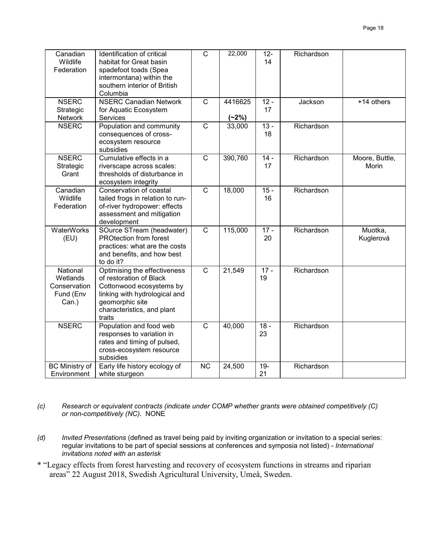| Canadian<br>Wildlife<br>Federation                         | Identification of critical<br>habitat for Great basin<br>spadefoot toads (Spea<br>intermontana) within the<br>southern interior of British<br>Columbia                          | $\mathsf{C}$   | 22,000             | $12-$<br>14  | Richardson |                         |
|------------------------------------------------------------|---------------------------------------------------------------------------------------------------------------------------------------------------------------------------------|----------------|--------------------|--------------|------------|-------------------------|
| <b>NSERC</b><br>Strategic<br>Network                       | <b>NSERC Canadian Network</b><br>for Aquatic Ecosystem<br>Services                                                                                                              | $\overline{C}$ | 4416625<br>$(-2%)$ | $12 -$<br>17 | Jackson    | +14 others              |
| <b>NSERC</b>                                               | Population and community<br>consequences of cross-<br>ecosystem resource<br>subsidies                                                                                           | $\mathsf{C}$   | 33,000             | $13 -$<br>18 | Richardson |                         |
| <b>NSERC</b><br>Strategic<br>Grant                         | Cumulative effects in a<br>riverscape across scales:<br>thresholds of disturbance in<br>ecosystem integrity                                                                     | $\mathsf{C}$   | 390,760            | $14 -$<br>17 | Richardson | Moore, Buttle,<br>Morin |
| Canadian<br>Wildlife<br>Federation                         | Conservation of coastal<br>tailed frogs in relation to run-<br>of-river hydropower: effects<br>assessment and mitigation<br>development                                         | $\overline{C}$ | 18,000             | $15 -$<br>16 | Richardson |                         |
| <b>WaterWorks</b><br>(EU)                                  | SOurce STream (headwater)<br><b>PROtection from forest</b><br>practices: what are the costs<br>and benefits, and how best<br>to do it?                                          | $\overline{C}$ | 115,000            | $17 -$<br>20 | Richardson | Muotka,<br>Kuglerová    |
| National<br>Wetlands<br>Conservation<br>Fund (Env<br>Can.) | Optimising the effectiveness<br>of restoration of Black<br>Cottonwood ecosystems by<br>linking with hydrological and<br>geomorphic site<br>characteristics, and plant<br>traits | $\overline{C}$ | 21,549             | $17 -$<br>19 | Richardson |                         |
| <b>NSERC</b>                                               | Population and food web<br>responses to variation in<br>rates and timing of pulsed,<br>cross-ecosystem resource<br>subsidies                                                    | $\overline{C}$ | 40,000             | $18 -$<br>23 | Richardson |                         |
| <b>BC Ministry of</b><br>Environment                       | Early life history ecology of<br>white sturgeon                                                                                                                                 | <b>NC</b>      | 24,500             | $19 -$<br>21 | Richardson |                         |

*(c) Research or equivalent contracts (indicate under COMP whether grants were obtained competitively (C) or non-competitively (NC).* NONE

- *(d) Invited Presentations* (defined as travel being paid by inviting organization or invitation to a special series: regular invitations to be part of special sessions at conferences and symposia not listed) - *International invitations noted with an asterisk*
- \* "Legacy effects from forest harvesting and recovery of ecosystem functions in streams and riparian areas" 22 August 2018, Swedish Agricultural University, Umeå, Sweden.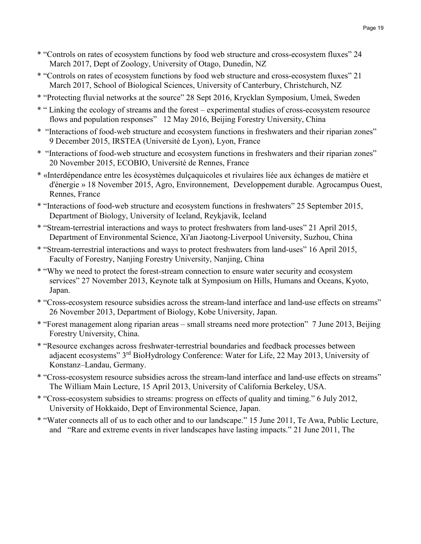- \* "Controls on rates of ecosystem functions by food web structure and cross-ecosystem fluxes" 24 March 2017, Dept of Zoology, University of Otago, Dunedin, NZ
- \* "Controls on rates of ecosystem functions by food web structure and cross-ecosystem fluxes" 21 March 2017, School of Biological Sciences, University of Canterbury, Christchurch, NZ
- \* "Protecting fluvial networks at the source" 28 Sept 2016, Krycklan Symposium, Umeå, Sweden
- \* " Linking the ecology of streams and the forest experimental studies of cross-ecosystem resource flows and population responses" 12 May 2016, Beijing Forestry University, China
- \* "Interactions of food-web structure and ecosystem functions in freshwaters and their riparian zones" 9 December 2015, IRSTEA (Université de Lyon), Lyon, France
- \* "Interactions of food-web structure and ecosystem functions in freshwaters and their riparian zones" 20 November 2015, ECOBIO, Université de Rennes, France
- \* «Interdépendance entre les écosystèmes dulçaquicoles et rivulaires liée aux échanges de matière et d'énergie » 18 November 2015, Agro, Environnement, Developpement durable. Agrocampus Ouest, Rennes, France
- \* "Interactions of food-web structure and ecosystem functions in freshwaters" 25 September 2015, Department of Biology, University of Iceland, Reykjavik, Iceland
- \* "Stream-terrestrial interactions and ways to protect freshwaters from land-uses" 21 April 2015, Department of Environmental Science, Xi'an Jiaotong-Liverpool University, Suzhou, China
- \* "Stream-terrestrial interactions and ways to protect freshwaters from land-uses" 16 April 2015, Faculty of Forestry, Nanjing Forestry University, Nanjing, China
- \* "Why we need to protect the forest-stream connection to ensure water security and ecosystem services" 27 November 2013, Keynote talk at Symposium on Hills, Humans and Oceans, Kyoto, Japan.
- \* "Cross-ecosystem resource subsidies across the stream-land interface and land-use effects on streams" 26 November 2013, Department of Biology, Kobe University, Japan.
- \* "Forest management along riparian areas small streams need more protection" 7 June 2013, Beijing Forestry University, China.
- \* "Resource exchanges across freshwater-terrestrial boundaries and feedback processes between adjacent ecosystems" 3<sup>rd</sup> BioHydrology Conference: Water for Life, 22 May 2013, University of Konstanz–Landau, Germany.
- \* "Cross-ecosystem resource subsidies across the stream-land interface and land-use effects on streams" The William Main Lecture, 15 April 2013, University of California Berkeley, USA.
- \* "Cross-ecosystem subsidies to streams: progress on effects of quality and timing." 6 July 2012, University of Hokkaido, Dept of Environmental Science, Japan.
- \* "Water connects all of us to each other and to our landscape." 15 June 2011, Te Awa, Public Lecture, and "Rare and extreme events in river landscapes have lasting impacts." 21 June 2011, The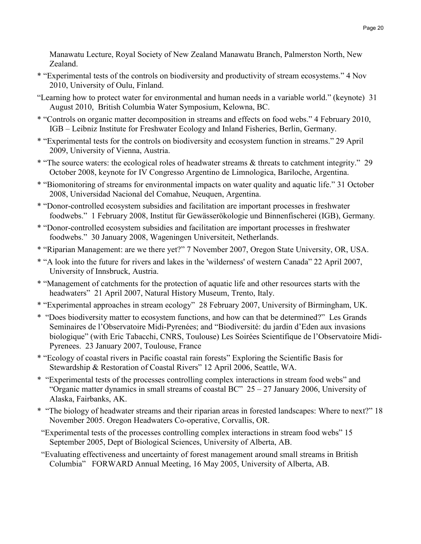Manawatu Lecture, Royal Society of New Zealand Manawatu Branch, Palmerston North, New Zealand.

- \* "Experimental tests of the controls on biodiversity and productivity of stream ecosystems." 4 Nov 2010, University of Oulu, Finland.
- "Learning how to protect water for environmental and human needs in a variable world." (keynote) 31 August 2010, British Columbia Water Symposium, Kelowna, BC.
- \* "Controls on organic matter decomposition in streams and effects on food webs." 4 February 2010, IGB – Leibniz Institute for Freshwater Ecology and Inland Fisheries, Berlin, Germany.
- \* "Experimental tests for the controls on biodiversity and ecosystem function in streams." 29 April 2009, University of Vienna, Austria.
- \* "The source waters: the ecological roles of headwater streams & threats to catchment integrity." 29 October 2008, keynote for IV Congresso Argentino de Limnologica, Bariloche, Argentina.
- \* "Biomonitoring of streams for environmental impacts on water quality and aquatic life." 31 October 2008, Universidad Nacional del Comahue, Neuquen, Argentina.
- \* "Donor-controlled ecosystem subsidies and facilitation are important processes in freshwater foodwebs." 1 February 2008, Institut für Gewässerökologie und Binnenfischerei (IGB), Germany*.*
- \* "Donor-controlled ecosystem subsidies and facilitation are important processes in freshwater foodwebs." 30 January 2008, Wageningen Universiteit, Netherlands.
- \* "Riparian Management: are we there yet?" 7 November 2007, Oregon State University, OR, USA.
- \* "A look into the future for rivers and lakes in the 'wilderness' of western Canada" 22 April 2007, University of Innsbruck, Austria.
- \* "Management of catchments for the protection of aquatic life and other resources starts with the headwaters" 21 April 2007, Natural History Museum, Trento, Italy.
- \* "Experimental approaches in stream ecology" 28 February 2007, University of Birmingham, UK.
- \* "Does biodiversity matter to ecosystem functions, and how can that be determined?" Les Grands Seminaires de l'Observatoire Midi-Pyrenées; and "Biodiversité: du jardin d'Eden aux invasions biologique" (with Eric Tabacchi, CNRS, Toulouse) Les Soirées Scientifique de l'Observatoire Midi-Pyrenees. 23 January 2007, Toulouse, France
- \* "Ecology of coastal rivers in Pacific coastal rain forests" Exploring the Scientific Basis for Stewardship & Restoration of Coastal Rivers" 12 April 2006, Seattle, WA.
- \* "Experimental tests of the processes controlling complex interactions in stream food webs" and "Organic matter dynamics in small streams of coastal BC"  $25 - 27$  January 2006, University of Alaska, Fairbanks, AK.
- \* "The biology of headwater streams and their riparian areas in forested landscapes: Where to next?" 18 November 2005. Oregon Headwaters Co-operative, Corvallis, OR.
- "Experimental tests of the processes controlling complex interactions in stream food webs" 15 September 2005, Dept of Biological Sciences, University of Alberta, AB.
- "Evaluating effectiveness and uncertainty of forest management around small streams in British Columbia" FORWARD Annual Meeting, 16 May 2005, University of Alberta, AB.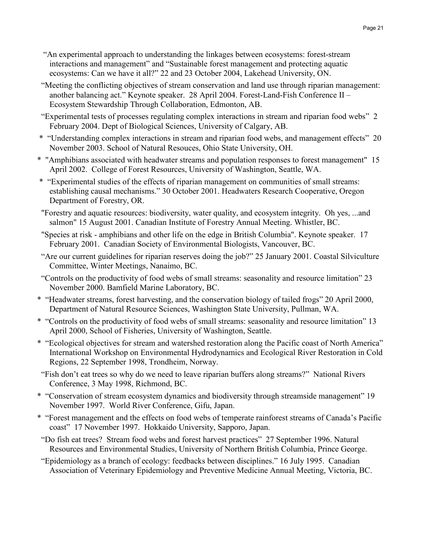- "An experimental approach to understanding the linkages between ecosystems: forest-stream interactions and management" and "Sustainable forest management and protecting aquatic ecosystems: Can we have it all?" 22 and 23 October 2004, Lakehead University, ON.
- "Meeting the conflicting objectives of stream conservation and land use through riparian management: another balancing act." Keynote speaker. 28 April 2004. Forest-Land-Fish Conference II – Ecosystem Stewardship Through Collaboration, Edmonton, AB.
- "Experimental tests of processes regulating complex interactions in stream and riparian food webs" 2 February 2004. Dept of Biological Sciences, University of Calgary, AB.
- \* "Understanding complex interactions in stream and riparian food webs, and management effects" 20 November 2003. School of Natural Resouces, Ohio State University, OH.
- \* "Amphibians associated with headwater streams and population responses to forest management" 15 April 2002. College of Forest Resources, University of Washington, Seattle, WA.
- \* "Experimental studies of the effects of riparian management on communities of small streams: establishing causal mechanisms." 30 October 2001. Headwaters Research Cooperative, Oregon Department of Forestry, OR.
- "Forestry and aquatic resources: biodiversity, water quality, and ecosystem integrity. Oh yes, ...and salmon" 15 August 2001. Canadian Institute of Forestry Annual Meeting. Whistler, BC.
- "Species at risk amphibians and other life on the edge in British Columbia". Keynote speaker. 17 February 2001. Canadian Society of Environmental Biologists, Vancouver, BC.
- "Are our current guidelines for riparian reserves doing the job?" 25 January 2001. Coastal Silviculture Committee, Winter Meetings, Nanaimo, BC.
- "Controls on the productivity of food webs of small streams: seasonality and resource limitation" 23 November 2000. Bamfield Marine Laboratory, BC.
- \* "Headwater streams, forest harvesting, and the conservation biology of tailed frogs" 20 April 2000, Department of Natural Resource Sciences, Washington State University, Pullman, WA.
- \* "Controls on the productivity of food webs of small streams: seasonality and resource limitation" 13 April 2000, School of Fisheries, University of Washington, Seattle.
- \* "Ecological objectives for stream and watershed restoration along the Pacific coast of North America" International Workshop on Environmental Hydrodynamics and Ecological River Restoration in Cold Regions, 22 September 1998, Trondheim, Norway.
- "Fish don't eat trees so why do we need to leave riparian buffers along streams?" National Rivers Conference, 3 May 1998, Richmond, BC.
- \* "Conservation of stream ecosystem dynamics and biodiversity through streamside management" 19 November 1997. World River Conference, Gifu, Japan.
- \* "Forest management and the effects on food webs of temperate rainforest streams of Canada's Pacific coast" 17 November 1997. Hokkaido University, Sapporo, Japan.
- "Do fish eat trees? Stream food webs and forest harvest practices" 27 September 1996. Natural Resources and Environmental Studies, University of Northern British Columbia, Prince George.
- "Epidemiology as a branch of ecology: feedbacks between disciplines." 16 July 1995. Canadian Association of Veterinary Epidemiology and Preventive Medicine Annual Meeting, Victoria, BC.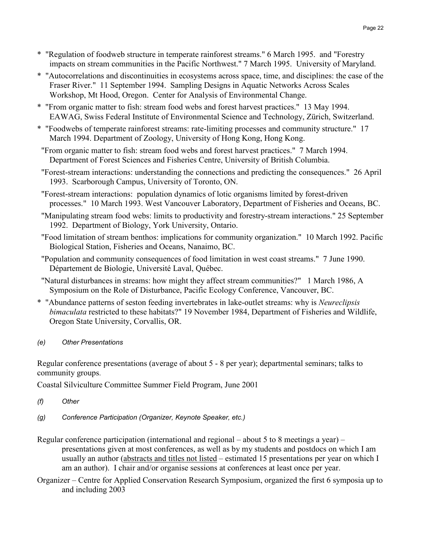- \* "Regulation of foodweb structure in temperate rainforest streams." 6 March 1995. and "Forestry impacts on stream communities in the Pacific Northwest." 7 March 1995. University of Maryland.
- \* "Autocorrelations and discontinuities in ecosystems across space, time, and disciplines: the case of the Fraser River." 11 September 1994. Sampling Designs in Aquatic Networks Across Scales Workshop, Mt Hood, Oregon. Center for Analysis of Environmental Change.
- \* "From organic matter to fish: stream food webs and forest harvest practices." 13 May 1994. EAWAG, Swiss Federal Institute of Environmental Science and Technology, Zürich, Switzerland.
- \* "Foodwebs of temperate rainforest streams: rate-limiting processes and community structure." 17 March 1994. Department of Zoology, University of Hong Kong, Hong Kong.
- "From organic matter to fish: stream food webs and forest harvest practices." 7 March 1994. Department of Forest Sciences and Fisheries Centre, University of British Columbia.
- "Forest-stream interactions: understanding the connections and predicting the consequences." 26 April 1993. Scarborough Campus, University of Toronto, ON.
- "Forest-stream interactions: population dynamics of lotic organisms limited by forest-driven processes." 10 March 1993. West Vancouver Laboratory, Department of Fisheries and Oceans, BC.
- "Manipulating stream food webs: limits to productivity and forestry-stream interactions." 25 September 1992. Department of Biology, York University, Ontario.
- "Food limitation of stream benthos: implications for community organization." 10 March 1992. Pacific Biological Station, Fisheries and Oceans, Nanaimo, BC.
- "Population and community consequences of food limitation in west coast streams." 7 June 1990. Département de Biologie, Université Laval, Québec.
- "Natural disturbances in streams: how might they affect stream communities?" 1 March 1986, A Symposium on the Role of Disturbance, Pacific Ecology Conference, Vancouver, BC.
- \* "Abundance patterns of seston feeding invertebrates in lake-outlet streams: why is *Neureclipsis bimaculata* restricted to these habitats?" 19 November 1984, Department of Fisheries and Wildlife, Oregon State University, Corvallis, OR.
- *(e) Other Presentations*

Regular conference presentations (average of about 5 - 8 per year); departmental seminars; talks to community groups.

Coastal Silviculture Committee Summer Field Program, June 2001

- *(f) Other*
- *(g) Conference Participation (Organizer, Keynote Speaker, etc.)*
- Regular conference participation (international and regional about 5 to 8 meetings a year) presentations given at most conferences, as well as by my students and postdocs on which I am usually an author (abstracts and titles not listed – estimated 15 presentations per year on which I am an author). I chair and/or organise sessions at conferences at least once per year.
- Organizer Centre for Applied Conservation Research Symposium, organized the first 6 symposia up to and including 2003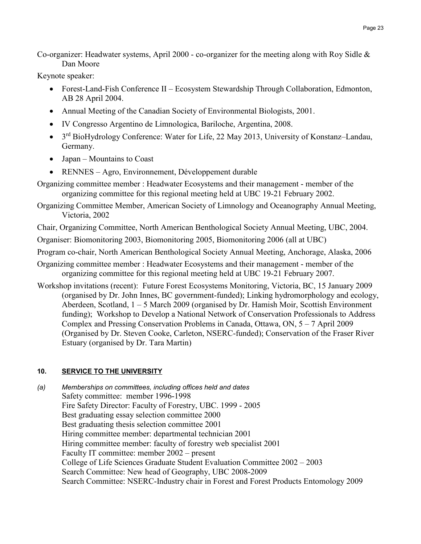Co-organizer: Headwater systems, April 2000 - co-organizer for the meeting along with Roy Sidle & Dan Moore

Keynote speaker:

- Forest-Land-Fish Conference II Ecosystem Stewardship Through Collaboration, Edmonton, AB 28 April 2004.
- Annual Meeting of the Canadian Society of Environmental Biologists, 2001.
- IV Congresso Argentino de Limnologica, Bariloche, Argentina, 2008.
- 3<sup>rd</sup> BioHydrology Conference: Water for Life, 22 May 2013, University of Konstanz–Landau, Germany.
- Japan Mountains to Coast
- RENNES Agro, Environnement, Développement durable
- Organizing committee member : Headwater Ecosystems and their management member of the organizing committee for this regional meeting held at UBC 19-21 February 2002.

Organizing Committee Member, American Society of Limnology and Oceanography Annual Meeting, Victoria, 2002

Chair, Organizing Committee, North American Benthological Society Annual Meeting, UBC, 2004.

Organiser: Biomonitoring 2003, Biomonitoring 2005, Biomonitoring 2006 (all at UBC)

Program co-chair, North American Benthological Society Annual Meeting, Anchorage, Alaska, 2006

- Organizing committee member : Headwater Ecosystems and their management member of the organizing committee for this regional meeting held at UBC 19-21 February 2007.
- Workshop invitations (recent): Future Forest Ecosystems Monitoring, Victoria, BC, 15 January 2009 (organised by Dr. John Innes, BC government-funded); Linking hydromorphology and ecology, Aberdeen, Scotland, 1 – 5 March 2009 (organised by Dr. Hamish Moir, Scottish Environment funding); Workshop to Develop a National Network of Conservation Professionals to Address Complex and Pressing Conservation Problems in Canada, Ottawa, ON,  $5 - 7$  April 2009 (Organised by Dr. Steven Cooke, Carleton, NSERC-funded); Conservation of the Fraser River Estuary (organised by Dr. Tara Martin)

# **10. SERVICE TO THE UNIVERSITY**

*(a) Memberships on committees, including offices held and dates* Safety committee: member 1996-1998 Fire Safety Director: Faculty of Forestry, UBC. 1999 - 2005 Best graduating essay selection committee 2000 Best graduating thesis selection committee 2001 Hiring committee member: departmental technician 2001 Hiring committee member: faculty of forestry web specialist 2001 Faculty IT committee: member 2002 – present College of Life Sciences Graduate Student Evaluation Committee 2002 – 2003 Search Committee: New head of Geography, UBC 2008-2009 Search Committee: NSERC-Industry chair in Forest and Forest Products Entomology 2009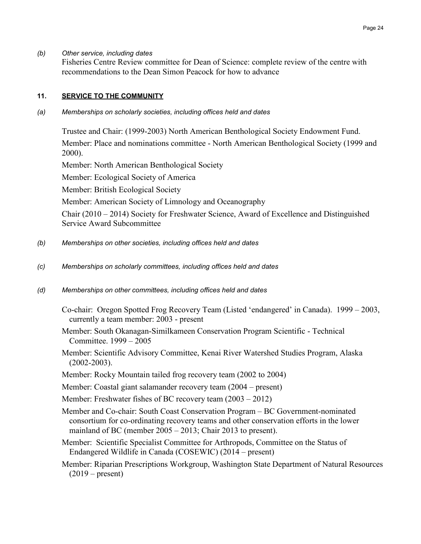#### *(b) Other service, including dates*

Fisheries Centre Review committee for Dean of Science: complete review of the centre with recommendations to the Dean Simon Peacock for how to advance

#### 11. **SERVICE TO THE COMMUNITY**

*(a) Memberships on scholarly societies, including offices held and dates*

Trustee and Chair: (1999-2003) North American Benthological Society Endowment Fund. Member: Place and nominations committee - North American Benthological Society (1999 and 2000).

Member: North American Benthological Society

Member: Ecological Society of America

Member: British Ecological Society

Member: American Society of Limnology and Oceanography

Chair (2010 – 2014) Society for Freshwater Science, Award of Excellence and Distinguished Service Award Subcommittee

- *(b) Memberships on other societies, including offices held and dates*
- *(c) Memberships on scholarly committees, including offices held and dates*
- *(d) Memberships on other committees, including offices held and dates*

Co-chair: Oregon Spotted Frog Recovery Team (Listed 'endangered' in Canada). 1999 – 2003, currently a team member: 2003 - present

- Member: South Okanagan-Similkameen Conservation Program Scientific Technical Committee. 1999 – 2005
- Member: Scientific Advisory Committee, Kenai River Watershed Studies Program, Alaska (2002-2003).
- Member: Rocky Mountain tailed frog recovery team (2002 to 2004)

Member: Coastal giant salamander recovery team (2004 – present)

Member: Freshwater fishes of BC recovery team (2003 – 2012)

Member and Co-chair: South Coast Conservation Program – BC Government-nominated consortium for co-ordinating recovery teams and other conservation efforts in the lower mainland of BC (member 2005 – 2013; Chair 2013 to present).

Member: Scientific Specialist Committee for Arthropods, Committee on the Status of Endangered Wildlife in Canada (COSEWIC) (2014 – present)

Member: Riparian Prescriptions Workgroup, Washington State Department of Natural Resources  $(2019 - present)$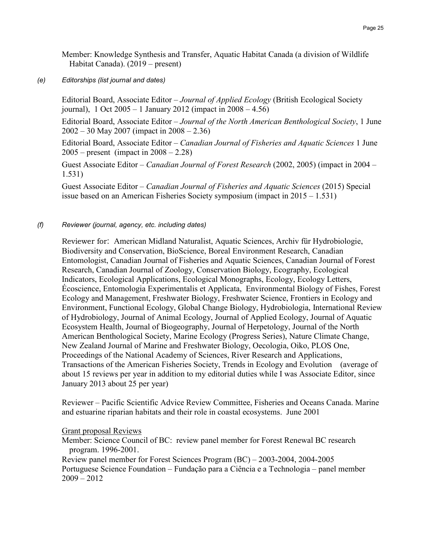Member: Knowledge Synthesis and Transfer, Aquatic Habitat Canada (a division of Wildlife Habitat Canada). (2019 – present)

*(e) Editorships (list journal and dates)*

Editorial Board, Associate Editor – *Journal of Applied Ecology* (British Ecological Society journal), 1 Oct 2005 – 1 January 2012 (impact in 2008 – 4.56)

Editorial Board, Associate Editor – *Journal of the North American Benthological Society*, 1 June 2002 – 30 May 2007 (impact in 2008 – 2.36)

Editorial Board, Associate Editor – *Canadian Journal of Fisheries and Aquatic Sciences* 1 June 2005 – present (impact in 2008 – 2.28)

Guest Associate Editor – *Canadian Journal of Forest Research* (2002, 2005) (impact in 2004 – 1.531)

Guest Associate Editor – *Canadian Journal of Fisheries and Aquatic Sciences* (2015) Special issue based on an American Fisheries Society symposium (impact in 2015 – 1.531)

#### *(f) Reviewer (journal, agency, etc. including dates)*

Reviewer for: American Midland Naturalist, Aquatic Sciences, Archiv für Hydrobiologie, Biodiversity and Conservation, BioScience, Boreal Environment Research, Canadian Entomologist, Canadian Journal of Fisheries and Aquatic Sciences, Canadian Journal of Forest Research, Canadian Journal of Zoology, Conservation Biology, Ecography, Ecological Indicators, Ecological Applications, Ecological Monographs, Ecology, Ecology Letters, Écoscience, Entomologia Experimentalis et Applicata, Environmental Biology of Fishes, Forest Ecology and Management, Freshwater Biology, Freshwater Science, Frontiers in Ecology and Environment, Functional Ecology, Global Change Biology, Hydrobiologia, International Review of Hydrobiology, Journal of Animal Ecology, Journal of Applied Ecology, Journal of Aquatic Ecosystem Health, Journal of Biogeography, Journal of Herpetology, Journal of the North American Benthological Society, Marine Ecology (Progress Series), Nature Climate Change, New Zealand Journal of Marine and Freshwater Biology, Oecologia, Oiko, PLOS One, Proceedings of the National Academy of Sciences, River Research and Applications, Transactions of the American Fisheries Society, Trends in Ecology and Evolution (average of about 15 reviews per year in addition to my editorial duties while I was Associate Editor, since January 2013 about 25 per year)

Reviewer – Pacific Scientific Advice Review Committee, Fisheries and Oceans Canada. Marine and estuarine riparian habitats and their role in coastal ecosystems. June 2001

**Grant proposal Reviews** 

Member: Science Council of BC: review panel member for Forest Renewal BC research program. 1996-2001.

Review panel member for Forest Sciences Program (BC) – 2003-2004, 2004-2005 Portuguese Science Foundation – Fundação para a Ciência e a Technologia – panel member 2009 – 2012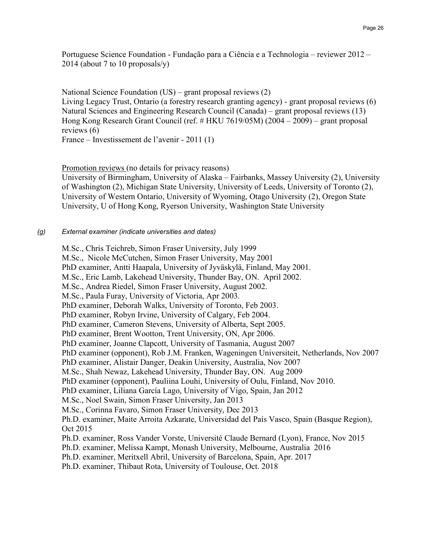Portuguese Science Foundation - Fundação para a Ciência e a Technologia – reviewer 2012 – 2014 (about 7 to 10 proposals/y)

National Science Foundation (US) – grant proposal reviews (2) Living Legacy Trust, Ontario (a forestry research granting agency) - grant proposal reviews (6) Natural Sciences and Engineering Research Council (Canada) – grant proposal reviews (13) Hong Kong Research Grant Council (ref. # HKU 7619/05M) (2004 – 2009) – grant proposal reviews (6) France – Investissement de l'avenir - 2011 (1)

Promotion reviews (no details for privacy reasons)

University of Birmingham, University of Alaska – Fairbanks, Massey University (2), University of Washington (2), Michigan State University, University of Leeds, University of Toronto (2), University of Western Ontario, University of Wyoming, Otago University (2), Oregon State University, U of Hong Kong, Ryerson University, Washington State University

#### *(g) External examiner (indicate universities and dates)*

M.Sc., Chris Teichreb, Simon Fraser University, July 1999 M.Sc., Nicole McCutchen, Simon Fraser University, May 2001 PhD examiner, Antti Haapala, University of Jyväskylä, Finland, May 2001. M.Sc., Eric Lamb, Lakehead University, Thunder Bay, ON. April 2002. M.Sc., Andrea Riedel, Simon Fraser University, August 2002. M.Sc., Paula Furay, University of Victoria, Apr 2003. PhD examiner, Deborah Walks, University of Toronto, Feb 2003. PhD examiner, Robyn Irvine, University of Calgary, Feb 2004. PhD examiner, Cameron Stevens, University of Alberta, Sept 2005. PhD examiner, Brent Wootton, Trent University, ON, Apr 2006. PhD examiner, Joanne Clapcott, University of Tasmania, August 2007 PhD examiner (opponent), Rob J.M. Franken, Wageningen Universiteit, Netherlands, Nov 2007 PhD examiner, Alistair Danger, Deakin University, Australia, Nov 2007 M.Sc., Shah Newaz, Lakehead University, Thunder Bay, ON. Aug 2009 PhD examiner (opponent), Pauliina Louhi, University of Oulu, Finland, Nov 2010. PhD examiner, Liliana García Lago, University of Vigo, Spain, Jan 2012 M.Sc., Noel Swain, Simon Fraser University, Jan 2013 M.Sc., Corinna Favaro, Simon Fraser University, Dec 2013 Ph.D. examiner, Maite Arroita Azkarate, Universidad del País Vasco, Spain (Basque Region), Oct 2015 Ph.D. examiner, Ross Vander Vorste, Université Claude Bernard (Lyon), France, Nov 2015 Ph.D. examiner, Melissa Kampt, Monash University, Melbourne, Australia 2016 Ph.D. examiner, Meritxell Abril, University of Barcelona, Spain, Apr. 2017 Ph.D. examiner, Thibaut Rota, University of Toulouse, Oct. 2018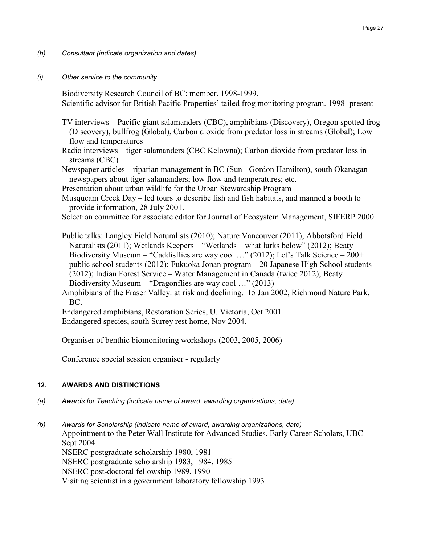- *(h) Consultant (indicate organization and dates)*
- *(i) Other service to the community*

Biodiversity Research Council of BC: member. 1998-1999. Scientific advisor for British Pacific Properties' tailed frog monitoring program. 1998- present

- TV interviews Pacific giant salamanders (CBC), amphibians (Discovery), Oregon spotted frog (Discovery), bullfrog (Global), Carbon dioxide from predator loss in streams (Global); Low flow and temperatures
- Radio interviews tiger salamanders (CBC Kelowna); Carbon dioxide from predator loss in streams (CBC)
- Newspaper articles riparian management in BC (Sun Gordon Hamilton), south Okanagan newspapers about tiger salamanders; low flow and temperatures; etc.
- Presentation about urban wildlife for the Urban Stewardship Program
- Musqueam Creek Day led tours to describe fish and fish habitats, and manned a booth to provide information, 28 July 2001.
- Selection committee for associate editor for Journal of Ecosystem Management, SIFERP 2000

Public talks: Langley Field Naturalists (2010); Nature Vancouver (2011); Abbotsford Field Naturalists (2011); Wetlands Keepers – "Wetlands – what lurks below" (2012); Beaty Biodiversity Museum – "Caddisflies are way cool …" (2012); Let's Talk Science – 200+ public school students (2012); Fukuoka Jonan program – 20 Japanese High School students (2012); Indian Forest Service – Water Management in Canada (twice 2012); Beaty Biodiversity Museum – "Dragonflies are way cool …" (2013)

Amphibians of the Fraser Valley: at risk and declining. 15 Jan 2002, Richmond Nature Park, BC.

Endangered amphibians, Restoration Series, U. Victoria, Oct 2001

Endangered species, south Surrey rest home, Nov 2004.

Organiser of benthic biomonitoring workshops (2003, 2005, 2006)

Conference special session organiser - regularly

#### 12. **AWARDS AND DISTINCTIONS**

*(a) Awards for Teaching (indicate name of award, awarding organizations, date)*

*(b) Awards for Scholarship (indicate name of award, awarding organizations, date)* Appointment to the Peter Wall Institute for Advanced Studies, Early Career Scholars, UBC – Sept 2004 NSERC postgraduate scholarship 1980, 1981 NSERC postgraduate scholarship 1983, 1984, 1985 NSERC post-doctoral fellowship 1989, 1990 Visiting scientist in a government laboratory fellowship 1993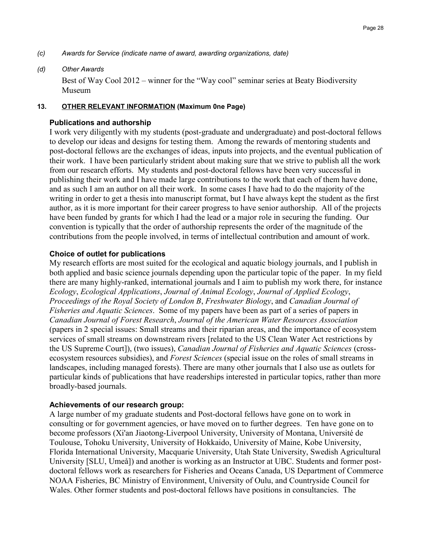- *(c) Awards for Service (indicate name of award, awarding organizations, date)*
- *(d) Other Awards*

Best of Way Cool 2012 – winner for the "Way cool" seminar series at Beaty Biodiversity Museum

#### 13. **OTHER RELEVANT INFORMATION** (Maximum 0ne Page)

#### **Publications and authorship**

I work very diligently with my students (post-graduate and undergraduate) and post-doctoral fellows to develop our ideas and designs for testing them. Among the rewards of mentoring students and post-doctoral fellows are the exchanges of ideas, inputs into projects, and the eventual publication of their work. I have been particularly strident about making sure that we strive to publish all the work from our research efforts. My students and post-doctoral fellows have been very successful in publishing their work and I have made large contributions to the work that each of them have done, and as such I am an author on all their work. In some cases I have had to do the majority of the writing in order to get a thesis into manuscript format, but I have always kept the student as the first author, as it is more important for their career progress to have senior authorship. All of the projects have been funded by grants for which I had the lead or a major role in securing the funding. Our convention is typically that the order of authorship represents the order of the magnitude of the contributions from the people involved, in terms of intellectual contribution and amount of work.

# **Choice of outlet for publications**

My research efforts are most suited for the ecological and aquatic biology journals, and I publish in both applied and basic science journals depending upon the particular topic of the paper. In my field there are many highly-ranked, international journals and I aim to publish my work there, for instance *Ecology*, *Ecological Applications*, *Journal of Animal Ecology*, *Journal of Applied Ecology*, *Proceedings of the Royal Society of London B*, *Freshwater Biology*, and *Canadian Journal of Fisheries and Aquatic Sciences*. Some of my papers have been as part of a series of papers in *Canadian Journal of Forest Research*, *Journal of the American Water Resources Association* (papers in 2 special issues: Small streams and their riparian areas, and the importance of ecosystem services of small streams on downstream rivers [related to the US Clean Water Act restrictions by the US Supreme Court]), (two issues), *Canadian Journal of Fisheries and Aquatic Sciences* (crossecosystem resources subsidies), and *Forest Sciences* (special issue on the roles of small streams in landscapes, including managed forests). There are many other journals that I also use as outlets for particular kinds of publications that have readerships interested in particular topics, rather than more broadly-based journals.

# **Achievements of our research group:**

A large number of my graduate students and Post-doctoral fellows have gone on to work in consulting or for government agencies, or have moved on to further degrees. Ten have gone on to become professors (Xi'an Jiaotong-Liverpool University, University of Montana, Université de Toulouse, Tohoku University, University of Hokkaido, University of Maine, Kobe University, Florida International University, Macquarie University, Utah State University, Swedish Agricultural University [SLU, Umeå]) and another is working as an Instructor at UBC. Students and former postdoctoral fellows work as researchers for Fisheries and Oceans Canada, US Department of Commerce NOAA Fisheries, BC Ministry of Environment, University of Oulu, and Countryside Council for Wales. Other former students and post-doctoral fellows have positions in consultancies. The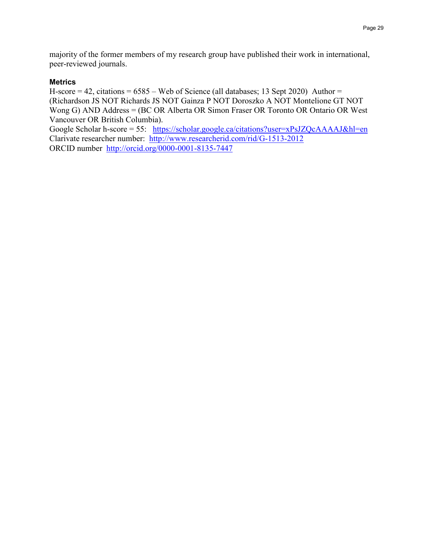majority of the former members of my research group have published their work in international, peer-reviewed journals.

## **Metrics**

H-score  $= 42$ , citations  $= 6585$  – Web of Science (all databases; 13 Sept 2020) Author  $=$ (Richardson JS NOT Richards JS NOT Gainza P NOT Doroszko A NOT Montelione GT NOT Wong G) AND Address = (BC OR Alberta OR Simon Fraser OR Toronto OR Ontario OR West Vancouver OR British Columbia).

Google Scholar h-score = 55: <https://scholar.google.ca/citations?user=xPsJZQcAAAAJ&hl=en> Clarivate researcher number: <http://www.researcherid.com/rid/G-1513-2012> ORCID number <http://orcid.org/0000-0001-8135-7447>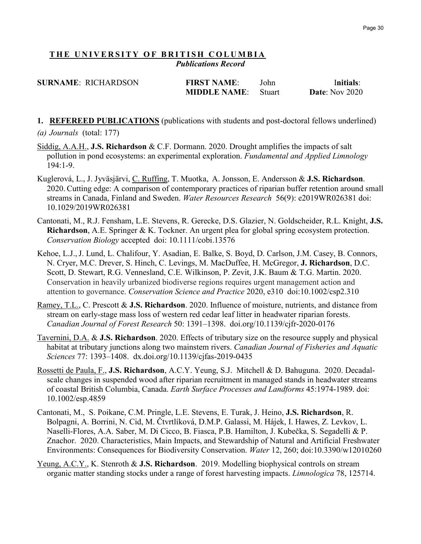# *<sup>U</sup>***THE UNIVERSITY OF BRITISH COLUMBIA** *Publications Record*

| <b>SURNAME: RICHARDSON</b> | <b>FIRST NAME:</b>  | John          | Initials:             |
|----------------------------|---------------------|---------------|-----------------------|
|                            | <b>MIDDLE NAME:</b> | <b>Stuart</b> | <b>Date:</b> Nov 2020 |

# **1. REFEREED PUBLICATIONS** (publications with students and post-doctoral fellows underlined) *(a) Journals* (total: 177)

- Siddig, A.A.H., **J.S. Richardson** & C.F. Dormann. 2020. Drought amplifies the impacts of salt pollution in pond ecosystems: an experimental exploration. *Fundamental and Applied Limnology* 194:1-9.
- Kuglerová, L., J. Jyväsjärvi, C. Ruffing, T. Muotka, A. Jonsson, E. Andersson & **J.S. Richardson**. 2020. Cutting edge: A comparison of contemporary practices of riparian buffer retention around small streams in Canada, Finland and Sweden. *Water Resources Research* 56(9): e2019WR026381 doi: 10.1029/2019WR026381
- Cantonati, M., R.J. Fensham, L.E. Stevens, R. Gerecke, D.S. Glazier, N. Goldscheider, R.L. Knight, **J.S. Richardson**, A.E. Springer & K. Tockner. An urgent plea for global spring ecosystem protection. *Conservation Biology* accepted doi: 10.1111/cobi.13576
- Kehoe, L.J.,J. Lund, L. Chalifour, Y. Asadian, E. Balke, S. Boyd, D. Carlson, J.M. Casey, B. Connors, N. Cryer, M.C. Drever, S. Hinch, C. Levings, M. MacDuffee, H. McGregor, **J. Richardson**, D.C. Scott, D. Stewart, R.G. Vennesland, C.E. Wilkinson, P. Zevit, J.K. Baum & T.G. Martin. 2020. Conservation in heavily urbanized biodiverse regions requires urgent management action and attention to governance. *Conservation Science and Practice* 2020, e310 doi:10.1002/csp2.310
- Ramey, T.L., C. Prescott & **J.S. Richardson**. 2020. Influence of moisture, nutrients, and distance from stream on early-stage mass loss of western red cedar leaf litter in headwater riparian forests. *Canadian Journal of Forest Research* 50: 1391–1398. doi.org/10.1139/cjfr-2020-0176
- Tavernini, D.A. & **J.S. Richardson**. 2020. Effects of tributary size on the resource supply and physical habitat at tributary junctions along two mainstem rivers. *Canadian Journal of Fisheries and Aquatic Sciences* 77: 1393–1408. dx.doi.org/10.1139/cjfas-2019-0435
- Rossetti de Paula, F., **J.S. Richardson**, A.C.Y. Yeung, S.J. Mitchell & D. Bahuguna. 2020. Decadalscale changes in suspended wood after riparian recruitment in managed stands in headwater streams of coastal British Columbia, Canada. *Earth Surface Processes and Landforms* 45:1974-1989. doi: 10.1002/esp.4859
- Cantonati, M., S. Poikane, C.M. Pringle, L.E. Stevens, E. Turak, J. Heino, **J.S. Richardson**, R. Bolpagni, A. Borrini, N. Cid, M. Čtvrtlíková, D.M.P. Galassi, M. Hájek, I. Hawes, Z. Levkov, L. Naselli-Flores, A.A. Saber, M. Di Cicco, B. Fiasca, P.B. Hamilton, J. Kubečka, S. Segadelli & P. Znachor. 2020. Characteristics, Main Impacts, and Stewardship of Natural and Artificial Freshwater Environments: Consequences for Biodiversity Conservation. *Water* 12, 260; doi:10.3390/w12010260
- Yeung, A.C.Y., K. Stenroth & **J.S. Richardson**. 2019. Modelling biophysical controls on stream organic matter standing stocks under a range of forest harvesting impacts. *Limnologica* 78, 125714.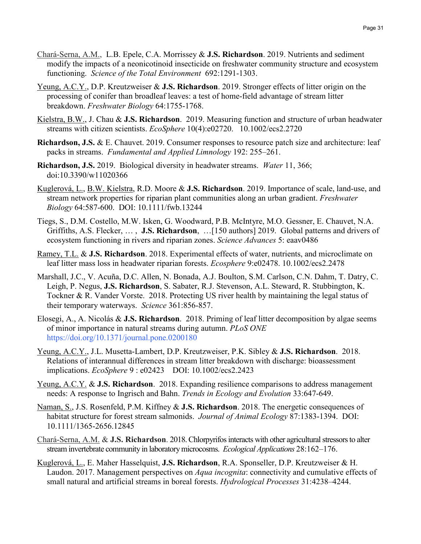- Chará-Serna, A.M., L.B. Epele, C.A. Morrissey & **J.S. Richardson**. 2019. Nutrients and sediment modify the impacts of a neonicotinoid insecticide on freshwater community structure and ecosystem functioning. *Science of the Total Environment* 692:1291-1303.
- Yeung, A.C.Y., D.P. Kreutzweiser & **J.S. Richardson**. 2019. Stronger effects of litter origin on the processing of conifer than broadleaf leaves: a test of home-field advantage of stream litter breakdown. *Freshwater Biology* 64:1755-1768.
- Kielstra, B.W., J. Chau & **J.S. Richardson**. 2019. Measuring function and structure of urban headwater streams with citizen scientists. *EcoSphere* 10(4):e02720. 10.1002/ecs2.2720
- **Richardson, J.S.** & E. Chauvet. 2019. Consumer responses to resource patch size and architecture: leaf packs in streams. *Fundamental and Applied Limnology* 192: 255–261.
- **Richardson, J.S.** 2019. Biological diversity in headwater streams. *Water* 11, 366; doi:10.3390/w11020366
- Kuglerová, L., B.W. Kielstra, R.D. Moore & **J.S. Richardson**. 2019. Importance of scale, land-use, and stream network properties for riparian plant communities along an urban gradient. *Freshwater Biology* 64:587-600. DOI: 10.1111/fwb.13244
- Tiegs, S., D.M. Costello, M.W. Isken, G. Woodward, P.B. McIntyre, M.O. Gessner, E. Chauvet, N.A. Griffiths, A.S. Flecker, … , **J.S. Richardson**, …[150 authors] 2019. Global patterns and drivers of ecosystem functioning in rivers and riparian zones. *Science Advances* 5: eaav0486
- Ramey, T.L. & **J.S. Richardson**. 2018. Experimental effects of water, nutrients, and microclimate on leaf litter mass loss in headwater riparian forests. *Ecosphere* 9:e02478. 10.1002/ecs2.2478
- Marshall, J.C., V. Acuña, D.C. Allen, N. Bonada, A.J. Boulton, S.M. Carlson, C.N. Dahm, T. Datry, C. Leigh, P. Negus, **J.S. Richardson**, S. Sabater, R.J. Stevenson, A.L. Steward, R. Stubbington, K. Tockner & R. Vander Vorste. 2018. Protecting US river health by maintaining the legal status of their temporary waterways. *Science* 361:856-857.
- Elosegi, A., A. Nicolás & **J.S. Richardson**. 2018. Priming of leaf litter decomposition by algae seems of minor importance in natural streams during autumn. *PLoS ONE* https://doi.org/10.1371/journal.pone.0200180
- Yeung, A.C.Y., J.L. Musetta-Lambert, D.P. Kreutzweiser, P.K. Sibley & **J.S. Richardson**. 2018. Relations of interannual differences in stream litter breakdown with discharge: bioassessment implications. *EcoSphere* 9 : e02423 DOI: 10.1002/ecs2.2423
- Yeung, A.C.Y. & **J.S. Richardson**. 2018. Expanding resilience comparisons to address management needs: A response to Ingrisch and Bahn. *Trends in Ecology and Evolution* 33:647-649.
- Naman, S., J.S. Rosenfeld, P.M. Kiffney & **J.S. Richardson**. 2018. The energetic consequences of habitat structure for forest stream salmonids. *Journal of Animal Ecology* 87:1383-1394.DOI: 10.1111/1365-2656.12845
- Chará-Serna, A.M. & **J.S. Richardson**. 2018. Chlorpyrifos interacts with other agricultural stressors to alter stream invertebrate community in laboratory microcosms. *Ecological Applications* 28:162–176.
- Kuglerová, L., E. Maher Hasselquist, **J.S. Richardson**, R.A. Sponseller, D.P. Kreutzweiser & H. Laudon. 2017. Management perspectives on *Aqua incognita*: connectivity and cumulative effects of small natural and artificial streams in boreal forests. *Hydrological Processes* 31:4238–4244.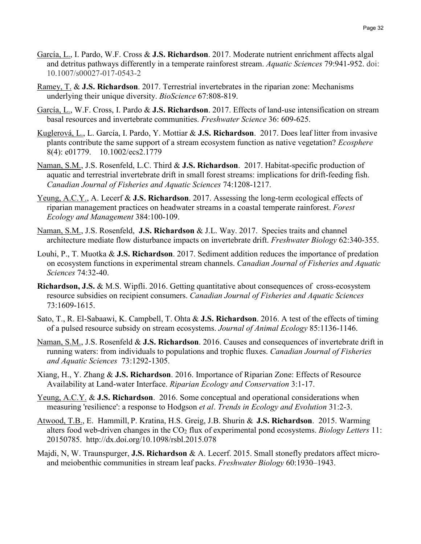- García, L., I. Pardo, W.F. Cross & **J.S. Richardson**. 2017. Moderate nutrient enrichment affects algal and detritus pathways differently in a temperate rainforest stream. *Aquatic Sciences* 79:941-952. doi: 10.1007/s00027-017-0543-2
- Ramey, T. & **J.S. Richardson**. 2017. Terrestrial invertebrates in the riparian zone: Mechanisms underlying their unique diversity. *BioScience* 67:808-819.
- García, L., W.F. Cross, I. Pardo & **J.S. Richardson**. 2017. Effects of land-use intensification on stream basal resources and invertebrate communities. *Freshwater Science* 36: 609-625.
- Kuglerová, L., L. García, I. Pardo, Y. Mottiar & **J.S. Richardson**. 2017. Does leaf litter from invasive plants contribute the same support of a stream ecosystem function as native vegetation? *Ecosphere* 8(4): e01779. 10.1002/ecs2.1779
- Naman, S.M., J.S. Rosenfeld, L.C. Third & **J.S. Richardson**. 2017. Habitat-specific production of aquatic and terrestrial invertebrate drift in small forest streams: implications for drift-feeding fish. *Canadian Journal of Fisheries and Aquatic Sciences* 74:1208-1217.
- Yeung, A.C.Y., A. Lecerf & **J.S. Richardson**. 2017. Assessing the long-term ecological effects of riparian management practices on headwater streams in a coastal temperate rainforest. *Forest Ecology and Management* 384:100-109.
- Naman, S.M., J.S. Rosenfeld, **J.S. Richardson** & J.L. Way. 2017. Species traits and channel architecture mediate flow disturbance impacts on invertebrate drift. *Freshwater Biology* 62:340-355.
- Louhi, P., T. Muotka & **J.S. Richardson**. 2017. Sediment addition reduces the importance of predation on ecosystem functions in experimental stream channels. *Canadian Journal of Fisheries and Aquatic Sciences* 74:32-40.
- **Richardson, J.S.** & M.S. Wipfli. 2016. Getting quantitative about consequences of cross-ecosystem resource subsidies on recipient consumers. *Canadian Journal of Fisheries and Aquatic Sciences*  73:1609-1615.
- Sato, T., R. El-Sabaawi, K. Campbell, T. Ohta & **J.S. Richardson**. 2016. A test of the effects of timing of a pulsed resource subsidy on stream ecosystems. *Journal of Animal Ecology* 85:1136-1146.
- Naman, S.M., J.S. Rosenfeld & **J.S. Richardson**. 2016. Causes and consequences of invertebrate drift in running waters: from individuals to populations and trophic fluxes. *Canadian Journal of Fisheries and Aquatic Sciences* 73:1292-1305.
- Xiang, H., Y. Zhang & **J.S. Richardson**. 2016. Importance of Riparian Zone: Effects of Resource Availability at Land-water Interface. *Riparian Ecology and Conservation* 3:1-17.
- Yeung, A.C.Y. & **J.S. Richardson**. 2016. Some conceptual and operational considerations when measuring 'resilience': a response to Hodgson *et al*. *Trends in Ecology and Evolution* 31:2-3.
- Atwood, T.B., E. Hammill, P. Kratina, H.S. Greig, J.B. Shurin & **J.S. Richardson**. 2015. Warming alters food web-driven changes in the CO<sub>2</sub> flux of experimental pond ecosystems. *Biology Letters* 11: 20150785. http://dx.doi.org/10.1098/rsbl.2015.078
- Majdi, N, W. Traunspurger, **J.S. Richardson** & A. Lecerf. 2015. Small stonefly predators affect microand meiobenthic communities in stream leaf packs. *Freshwater Biology* 60:1930–1943.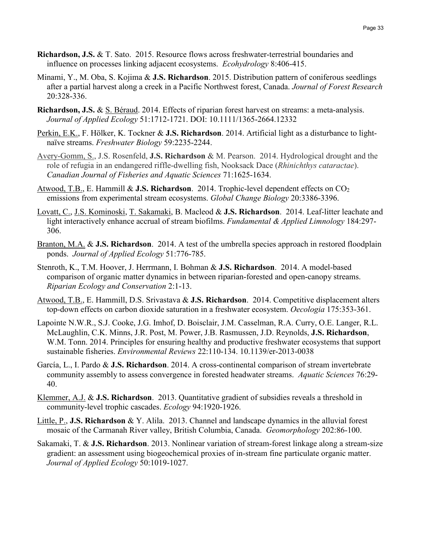- **Richardson, J.S.** & T. Sato. 2015. Resource flows across freshwater-terrestrial boundaries and influence on processes linking adjacent ecosystems. *Ecohydrology* 8:406-415.
- Minami, Y., M. Oba, S. Kojima & **J.S. Richardson**. 2015. Distribution pattern of coniferous seedlings after a partial harvest along a creek in a Pacific Northwest forest, Canada. *Journal of Forest Research* 20:328-336.
- **Richardson, J.S.** & S. Béraud. 2014. Effects of riparian forest harvest on streams: a meta-analysis. *Journal of Applied Ecology* 51:1712-1721. DOI: 10.1111/1365-2664.12332
- Perkin, E.K., F. Hölker, K. Tockner & **J.S. Richardson**. 2014. Artificial light as a disturbance to lightnaïve streams. *Freshwater Biology* 59:2235-2244.
- Avery-Gomm, S., J.S. Rosenfeld, **J.S. Richardson** & M. Pearson. 2014. Hydrological drought and the role of refugia in an endangered riffle-dwelling fish, Nooksack Dace (*Rhinichthys cataractae*). *Canadian Journal of Fisheries and Aquatic Sciences* 71:1625-1634.
- Atwood, T.B., E. Hammill & **J.S. Richardson**. 2014. Trophic-level dependent effects on CO2 emissions from experimental stream ecosystems. *Global Change Biology* 20:3386-3396.
- Lovatt, C., J.S. Kominoski, T. Sakamaki, B. Macleod & **J.S. Richardson**. 2014. Leaf-litter leachate and light interactively enhance accrual of stream biofilms. *Fundamental & Applied Limnology* 184:297- 306.
- Branton, M.A. & **J.S. Richardson**. 2014. A test of the umbrella species approach in restored floodplain ponds. *Journal of Applied Ecology* 51:776-785.
- Stenroth, K., T.M. Hoover, J. Herrmann, I. Bohman & **J.S. Richardson**. 2014. A model-based comparison of organic matter dynamics in between riparian-forested and open-canopy streams. *Riparian Ecology and Conservation* 2:1-13.
- Atwood, T.B., E. Hammill, D.S. Srivastava & **J.S. Richardson**. 2014. Competitive displacement alters top-down effects on carbon dioxide saturation in a freshwater ecosystem. *Oecologia* 175:353-361.
- Lapointe N.W.R., S.J. Cooke, J.G. Imhof, D. Boisclair, J.M. Casselman, R.A. Curry, O.E. Langer, R.L. McLaughlin, C.K. Minns, J.R. Post, M. Power, J.B. Rasmussen, J.D. Reynolds, **J.S. Richardson**, W.M. Tonn. 2014. Principles for ensuring healthy and productive freshwater ecosystems that support sustainable fisheries. *Environmental Reviews* 22:110-134. 10.1139/er-2013-0038
- García, L., I. Pardo & **J.S. Richardson**. 2014. A cross-continental comparison of stream invertebrate community assembly to assess convergence in forested headwater streams. *Aquatic Sciences* 76:29- 40.
- Klemmer, A.J. & **J.S. Richardson**. 2013. Quantitative gradient of subsidies reveals a threshold in community-level trophic cascades. *Ecology* 94:1920-1926.
- Little, P., **J.S. Richardson** & Y. Alila. 2013. Channel and landscape dynamics in the alluvial forest mosaic of the Carmanah River valley, British Columbia, Canada. *Geomorphology* 202:86-100.
- Sakamaki, T. & **J.S. Richardson**. 2013. Nonlinear variation of stream-forest linkage along a stream-size gradient: an assessment using biogeochemical proxies of in-stream fine particulate organic matter. *Journal of Applied Ecology* 50:1019-1027.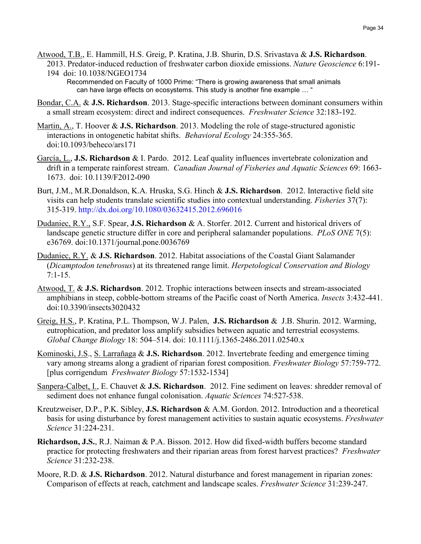- Atwood, T.B., E. Hammill, H.S. Greig, P. Kratina, J.B. Shurin, D.S. Srivastava & **J.S. Richardson**. 2013. Predator-induced reduction of freshwater carbon dioxide emissions. *Nature Geoscience* 6:191-
	- 194 doi: 10.1038/NGEO1734 Recommended on Faculty of 1000 Prime: "There is growing awareness that small animals can have large effects on ecosystems. This study is another fine example … "
- Bondar, C.A. & **J.S. Richardson**. 2013. Stage-specific interactions between dominant consumers within a small stream ecosystem: direct and indirect consequences. *Freshwater Science* 32:183-192.
- Martin, A., T. Hoover & **J.S. Richardson**. 2013. Modeling the role of stage-structured agonistic interactions in ontogenetic habitat shifts. *Behavioral Ecology* 24:355-365. doi:10.1093/beheco/ars171
- García, L., **J.S. Richardson** & I. Pardo. 2012. Leaf quality influences invertebrate colonization and drift in a temperate rainforest stream. *Canadian Journal of Fisheries and Aquatic Sciences* 69: 1663- 1673. doi: 10.1139/F2012-090
- Burt, J.M., M.R.Donaldson, K.A. Hruska, S.G. Hinch & **J.S. Richardson**. 2012. Interactive field site visits can help students translate scientific studies into contextual understanding. *Fisheries* 37(7): 315-319. http://dx.doi.org/10.1080/03632415.2012.696016
- Dudaniec, R.Y., S.F. Spear, **J.S. Richardson** & A. Storfer. 2012. Current and historical drivers of landscape genetic structure differ in core and peripheral salamander populations. *PLoS ONE* 7(5): e36769. doi:10.1371/journal.pone.0036769
- Dudaniec, R.Y. & **J.S. Richardson**. 2012. Habitat associations of the Coastal Giant Salamander (*Dicamptodon tenebrosus*) at its threatened range limit. *Herpetological Conservation and Biology* 7:1-15.
- Atwood, T. & **J.S. Richardson**. 2012. Trophic interactions between insects and stream-associated amphibians in steep, cobble-bottom streams of the Pacific coast of North America. *Insects* 3:432-441. doi:10.3390/insects3020432
- Greig, H.S., P. Kratina, P.L. Thompson, W.J. Palen, **J.S. Richardson** & J.B. Shurin. 2012. Warming, eutrophication, and predator loss amplify subsidies between aquatic and terrestrial ecosystems. *Global Change Biology* 18: 504–514. doi: 10.1111/j.1365-2486.2011.02540.x
- Kominoski, J.S., S. Larrañaga & **J.S. Richardson**. 2012. Invertebrate feeding and emergence timing vary among streams along a gradient of riparian forest composition. *Freshwater Biology* 57:759-772. [plus corrigendum *Freshwater Biology* 57:1532-1534]
- Sanpera-Calbet, I., E. Chauvet & **J.S. Richardson**. 2012. Fine sediment on leaves: shredder removal of sediment does not enhance fungal colonisation. *Aquatic Sciences* 74:527-538.
- Kreutzweiser, D.P., P.K. Sibley, **J.S. Richardson** & A.M. Gordon. 2012. Introduction and a theoretical basis for using disturbance by forest management activities to sustain aquatic ecosystems. *Freshwater Science* 31:224-231.
- **Richardson, J.S.**, R.J. Naiman & P.A. Bisson. 2012. How did fixed-width buffers become standard practice for protecting freshwaters and their riparian areas from forest harvest practices? *Freshwater Science* 31:232-238.
- Moore, R.D. & **J.S. Richardson**. 2012. Natural disturbance and forest management in riparian zones: Comparison of effects at reach, catchment and landscape scales. *Freshwater Science* 31:239-247.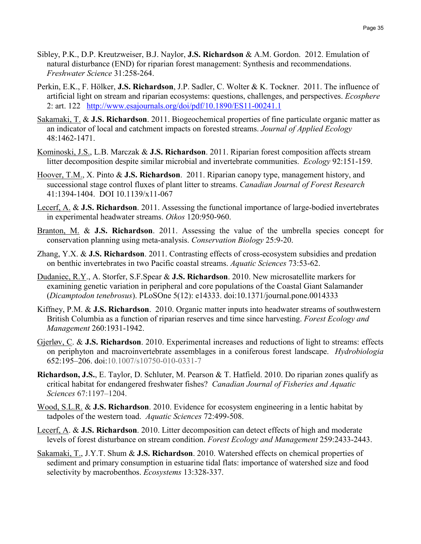- Sibley, P.K., D.P. Kreutzweiser, B.J. Naylor, **J.S. Richardson** & A.M. Gordon. 2012. Emulation of natural disturbance (END) for riparian forest management: Synthesis and recommendations. *Freshwater Science* 31:258-264.
- Perkin, E.K., F. Hölker, **J.S. Richardson**, J.P. Sadler, C. Wolter & K. Tockner. 2011. The influence of artificial light on stream and riparian ecosystems: questions, challenges, and perspectives. *Ecosphere* 2: art. 122 <http://www.esajournals.org/doi/pdf/10.1890/ES11-00241.1>
- Sakamaki, T. & **J.S. Richardson**. 2011. Biogeochemical properties of fine particulate organic matter as an indicator of local and catchment impacts on forested streams. *Journal of Applied Ecology* 48:1462-1471.
- Kominoski, J.S., L.B. Marczak & **J.S. Richardson**. 2011. Riparian forest composition affects stream litter decomposition despite similar microbial and invertebrate communities. *Ecology* 92:151-159.
- Hoover, T.M., X. Pinto & **J.S. Richardson**. 2011. Riparian canopy type, management history, and successional stage control fluxes of plant litter to streams. *Canadian Journal of Forest Research* 41:1394-1404. DOI 10.1139/x11-067
- Lecerf, A. & **J.S. Richardson**. 2011. Assessing the functional importance of large-bodied invertebrates in experimental headwater streams. *Oikos* 120:950-960.
- Branton, M. & **J.S. Richardson**. 2011. Assessing the value of the umbrella species concept for conservation planning using meta-analysis. *Conservation Biology* 25:9-20.
- Zhang, Y.X. & **J.S. Richardson**. 2011. Contrasting effects of cross-ecosystem subsidies and predation on benthic invertebrates in two Pacific coastal streams. *Aquatic Sciences* 73:53-62.
- Dudaniec, R.Y., A. Storfer, S.F.Spear & **J.S. Richardson**. 2010. New microsatellite markers for examining genetic variation in peripheral and core populations of the Coastal Giant Salamander (*Dicamptodon tenebrosus*). PLoSOne 5(12): e14333. doi:10.1371/journal.pone.0014333
- Kiffney, P.M. & **J.S. Richardson**. 2010. Organic matter inputs into headwater streams of southwestern British Columbia as a function of riparian reserves and time since harvesting. *Forest Ecology and Management* 260:1931-1942.
- Gjerløv, C. & **J.S. Richardson**. 2010. Experimental increases and reductions of light to streams: effects on periphyton and macroinvertebrate assemblages in a coniferous forest landscape. *Hydrobiologia* 652:195–206. doi:10.1007/s10750-010-0331-7
- **Richardson, J.S.**, E. Taylor, D. Schluter, M. Pearson & T. Hatfield. 2010. Do riparian zones qualify as critical habitat for endangered freshwater fishes? *Canadian Journal of Fisheries and Aquatic Sciences* 67:1197–1204.
- Wood, S.L.R. & **J.S. Richardson**. 2010. Evidence for ecosystem engineering in a lentic habitat by tadpoles of the western toad. *Aquatic Sciences* 72:499-508.
- Lecerf, A. & **J.S. Richardson**. 2010. Litter decomposition can detect effects of high and moderate levels of forest disturbance on stream condition. *Forest Ecology and Management* 259:2433-2443.
- Sakamaki, T., J.Y.T. Shum & **J.S. Richardson**. 2010. Watershed effects on chemical properties of sediment and primary consumption in estuarine tidal flats: importance of watershed size and food selectivity by macrobenthos. *Ecosystems* 13:328-337.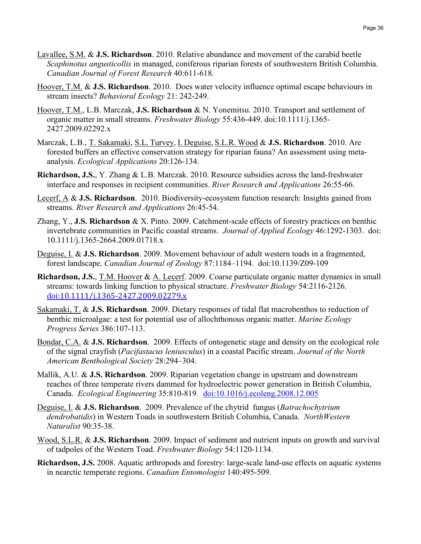- Lavallee, S.M. & **J.S. Richardson**. 2010. Relative abundance and movement of the carabid beetle *Scaphinotus angusticollis* in managed, coniferous riparian forests of southwestern British Columbia. *Canadian Journal of Forest Research* 40:611-618.
- Hoover, T.M. & **J.S. Richardson**. 2010. Does water velocity influence optimal escape behaviours in stream insects? *Behavioral Ecology* 21: 242-249.
- Hoover, T.M., L.B. Marczak, **J.S. Richardson** & N. Yonemitsu. 2010. Transport and settlement of organic matter in small streams. *Freshwater Biology* 55:436-449. doi:10.1111/j.1365- 2427.2009.02292.x
- Marczak, L.B., T. Sakamaki, S.L. Turvey, I. Deguise, S.L.R. Wood & **J.S. Richardson**. 2010. Are forested buffers an effective conservation strategy for riparian fauna? An assessment using metaanalysis. *Ecological Applications* 20:126-134.
- **Richardson, J.S.**, Y. Zhang & L.B. Marczak. 2010. Resource subsidies across the land-freshwater interface and responses in recipient communities. *River Research and Applications* 26:55-66.
- Lecerf, A & **J.S. Richardson**. 2010. Biodiversity-ecosystem function research: Insights gained from streams. *River Research and Applications* 26:45-54.
- Zhang, Y., **J.S. Richardson** & X. Pinto. 2009. Catchment-scale effects of forestry practices on benthic invertebrate communities in Pacific coastal streams. *Journal of Applied Ecology* 46:1292-1303. doi: 10.1111/j.1365-2664.2009.01718.x
- Deguise, I. & **J.S. Richardson**. 2009. Movement behaviour of adult western toads in a fragmented, forest landscape. *Canadian Journal of Zoology* 87:1184–1194. doi:10.1139/Z09-109
- **Richardson, J.S.**, T.M. Hoover & A. Lecerf. 2009. Coarse particulate organic matter dynamics in small streams: towards linking function to physical structure. *Freshwater Biology* 54:2116-2126. <doi:10.1111/j.1365-2427.2009.02279.x>
- Sakamaki, T. & **J.S. Richardson**. 2009. Dietary responses of tidal flat macrobenthos to reduction of benthic microalgae: a test for potential use of allochthonous organic matter. *Marine Ecology Progress Series* 386:107-113.
- Bondar, C.A. & **J.S. Richardson**. 2009. Effects of ontogenetic stage and density on the ecological role of the signal crayfish (*Pacifastacus leniusculus*) in a coastal Pacific stream. *Journal of the North American Benthological Society* 28:294–304.
- Mallik, A.U. & **J.S. Richardson**. 2009. Riparian vegetation change in upstream and downstream reaches of three temperate rivers dammed for hydroelectric power generation in British Columbia, Canada. *Ecological Engineering* 35:810-819. [doi:10.1016/j.ecoleng.2008.12.005](http://dx.doi.org/10.1016/j.ecoleng.2008.12.005)
- Deguise, I. & **J.S. Richardson**. 2009. Prevalence of the chytrid fungus (*Batrachochytrium dendrobatidis*) in Western Toads in southwestern British Columbia, Canada. *NorthWestern Naturalist* 90:35-38.
- Wood, S.L.R. & **J.S. Richardson**. 2009. Impact of sediment and nutrient inputs on growth and survival of tadpoles of the Western Toad. *Freshwater Biology* 54:1120-1134.
- **Richardson, J.S.** 2008. Aquatic arthropods and forestry: large-scale land-use effects on aquatic systems in nearctic temperate regions. *Canadian Entomologist* 140:495-509.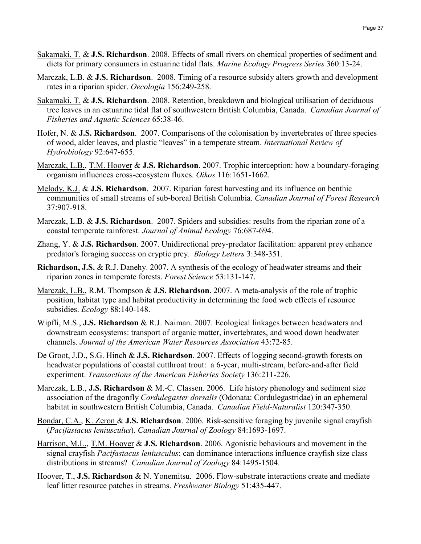- Sakamaki, T. & **J.S. Richardson**. 2008. Effects of small rivers on chemical properties of sediment and diets for primary consumers in estuarine tidal flats. *Marine Ecology Progress Series* 360:13-24.
- Marczak, L.B. & J.S. Richardson. 2008. Timing of a resource subsidy alters growth and development rates in a riparian spider. *Oecologia* 156:249-258.
- Sakamaki, T. & **J.S. Richardson**. 2008. Retention, breakdown and biological utilisation of deciduous tree leaves in an estuarine tidal flat of southwestern British Columbia, Canada. *Canadian Journal of Fisheries and Aquatic Sciences* 65:38-46.
- Hofer, N. & **J.S. Richardson**. 2007. Comparisons of the colonisation by invertebrates of three species of wood, alder leaves, and plastic "leaves" in a temperate stream. *International Review of Hydrobiology* 92:647-655.
- Marczak, L.B., T.M. Hoover & **J.S. Richardson**. 2007. Trophic interception: how a boundary-foraging organism influences cross-ecosystem fluxes. *Oikos* 116:1651-1662.
- Melody, K.J. & **J.S. Richardson**. 2007. Riparian forest harvesting and its influence on benthic communities of small streams of sub-boreal British Columbia. *Canadian Journal of Forest Research*  37:907-918.
- Marczak, L.B. & **J.S. Richardson**. 2007. Spiders and subsidies: results from the riparian zone of a coastal temperate rainforest. *Journal of Animal Ecology* 76:687-694.
- Zhang, Y. & **J.S. Richardson**. 2007. Unidirectional prey-predator facilitation: apparent prey enhance predator's foraging success on cryptic prey. *Biology Letters* 3:348-351.
- **Richardson, J.S.** & R.J. Danehy. 2007. A synthesis of the ecology of headwater streams and their riparian zones in temperate forests. *Forest Science* 53:131-147.
- Marczak, L.B., R.M. Thompson & **J.S. Richardson**. 2007. A meta-analysis of the role of trophic position, habitat type and habitat productivity in determining the food web effects of resource subsidies. *Ecology* 88:140-148.
- Wipfli, M.S., **J.S. Richardson** & R.J. Naiman. 2007. Ecological linkages between headwaters and downstream ecosystems: transport of organic matter, invertebrates, and wood down headwater channels. *Journal of the American Water Resources Association* 43:72-85.
- De Groot, J.D., S.G. Hinch & **J.S. Richardson**. 2007. Effects of logging second-growth forests on headwater populations of coastal cutthroat trout: a 6-year, multi-stream, before-and-after field experiment. *Transactions of the American Fisheries Society* 136:211-226.
- Marczak, L.B., **J.S. Richardson** & M.-C. Classen. 2006. Life history phenology and sediment size association of the dragonfly *Cordulegaster dorsalis* (Odonata: Cordulegastridae) in an ephemeral habitat in southwestern British Columbia, Canada. *Canadian Field-Naturalist* 120:347-350.
- Bondar, C.A., K. Zeron & **J.S. Richardson**. 2006. Risk-sensitive foraging by juvenile signal crayfish (*Pacifastacus leniusculus*). *Canadian Journal of Zoology* 84:1693-1697.
- *0B*Harrison, M.L., T.M. Hoover & **J.S. Richardson**. 2006. Agonistic behaviours and movement in the signal crayfish *Pacifastacus leniusculus*: can dominance interactions influence crayfish size class distributions in streams? *Canadian Journal of Zoology* 84:1495-1504.
- Hoover, T., **J.S. Richardson** & N. Yonemitsu. 2006. Flow-substrate interactions create and mediate leaf litter resource patches in streams. *Freshwater Biology* 51:435-447.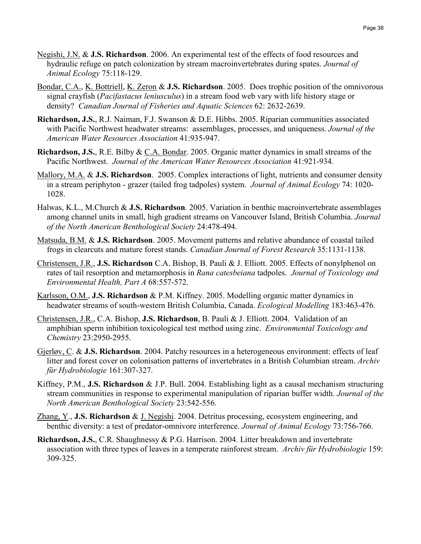- Negishi, J.N. & **J.S. Richardson**. 2006. An experimental test of the effects of food resources and hydraulic refuge on patch colonization by stream macroinvertebrates during spates. *Journal of Animal Ecology* 75:118-129.
- Bondar, C.A., K. Bottriell, K. Zeron & **J.S. Richardson**. 2005. Does trophic position of the omnivorous signal crayfish (*Pacifastacus leniusculus*) in a stream food web vary with life history stage or density? *Canadian Journal of Fisheries and Aquatic Sciences* 62: 2632-2639.
- *1B***Richardson, J.S.**, R.J. Naiman, F.J. Swanson & D.E. Hibbs. 2005. Riparian communities associated with Pacific Northwest headwater streams: assemblages, processes, and uniqueness. *Journal of the American Water Resources Association* 41:935-947.
- **Richardson, J.S.**, R.E. Bilby & C.A. Bondar. 2005. Organic matter dynamics in small streams of the Pacific Northwest. *Journal of the American Water Resources Association* 41:921-934.
- Mallory, M.A. & **J.S. Richardson**. 2005. Complex interactions of light, nutrients and consumer density in a stream periphyton - grazer (tailed frog tadpoles) system. *Journal of Animal Ecology* 74: 1020- 1028.
- Halwas, K.L., M.Church & **J.S. Richardson**. 2005. Variation in benthic macroinvertebrate assemblages among channel units in small, high gradient streams on Vancouver Island, British Columbia. *Journal of the North American Benthological Society* 24:478-494.
- Matsuda, B.M. & **J.S. Richardson**. 2005. Movement patterns and relative abundance of coastal tailed frogs in clearcuts and mature forest stands. *Canadian Journal of Forest Research* 35:1131-1138.
- Christensen, J.R., **J.S. Richardson** C.A. Bishop, B. Pauli & J. Elliott. 2005. Effects of nonylphenol on rates of tail resorption and metamorphosis in *Rana catesbeiana* tadpoles. *Journal of Toxicology and Environmental Health, Part A* 68:557-572.
- *2B*Karlsson, O.M., **J.S. Richardson** & P.M. Kiffney. 2005. Modelling organic matter dynamics in headwater streams of south-western British Columbia, Canada. *Ecological Modelling* 183:463-476.
- Christensen, J.R., C.A. Bishop, **J.S. Richardson**, B. Pauli & J. Elliott. 2004. Validation of an amphibian sperm inhibition toxicological test method using zinc. *Environmental Toxicology and Chemistry* 23:2950-2955.
- Gjerløv, C. & **J.S. Richardson**. 2004. Patchy resources in a heterogeneous environment: effects of leaf litter and forest cover on colonisation patterns of invertebrates in a British Columbian stream. *Archiv für Hydrobiologie* 161:307-327.
- Kiffney, P.M., **J.S. Richardson** & J.P. Bull. 2004. Establishing light as a causal mechanism structuring stream communities in response to experimental manipulation of riparian buffer width. *Journal of the North American Benthological Society* 23:542-556.
- Zhang, Y., **J.S. Richardson** & J. Negishi. 2004. Detritus processing, ecosystem engineering, and benthic diversity: a test of predator-omnivore interference. *Journal of Animal Ecology* 73:756-766.
- **Richardson, J.S.**, C.R. Shaughnessy & P.G. Harrison. 2004. Litter breakdown and invertebrate association with three types of leaves in a temperate rainforest stream. *Archiv für Hydrobiologie* 159: 309-325.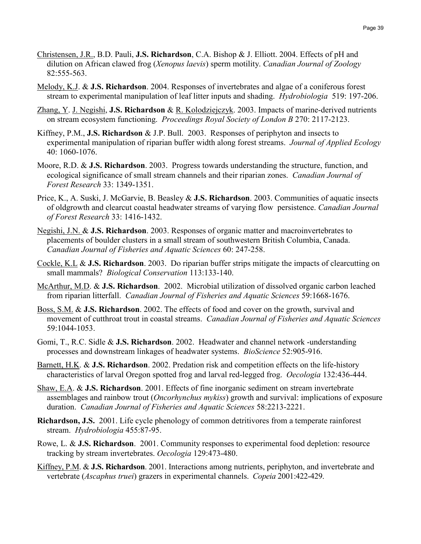- Christensen, J.R., B.D. Pauli, **J.S. Richardson**, C.A. Bishop & J. Elliott. 2004. Effects of pH and dilution on African clawed frog (*Xenopus laevis*) sperm motility. *Canadian Journal of Zoology* 82:555-563.
- Melody, K.J. & **J.S. Richardson**. 2004. Responses of invertebrates and algae of a coniferous forest stream to experimental manipulation of leaf litter inputs and shading. *Hydrobiologia* 519: 197-206.
- Zhang, Y. J. Negishi, **J.S. Richardson** & R. Kolodziejczyk. 2003. Impacts of marine-derived nutrients on stream ecosystem functioning. *Proceedings Royal Society of London B* 270: 2117-2123.
- Kiffney, P.M., **J.S. Richardson** & J.P. Bull. 2003. Responses of periphyton and insects to experimental manipulation of riparian buffer width along forest streams. *Journal of Applied Ecology* 40: 1060-1076.
- Moore, R.D. & **J.S. Richardson**. 2003. Progress towards understanding the structure, function, and ecological significance of small stream channels and their riparian zones. *Canadian Journal of Forest Research* 33: 1349-1351.
- Price, K., A. Suski, J. McGarvie, B. Beasley & **J.S. Richardson**. 2003. Communities of aquatic insects of oldgrowth and clearcut coastal headwater streams of varying flow persistence. *Canadian Journal of Forest Research* 33: 1416-1432.
- Negishi, J.N. & **J.S. Richardson**. 2003. Responses of organic matter and macroinvertebrates to placements of boulder clusters in a small stream of southwestern British Columbia, Canada. *Canadian Journal of Fisheries and Aquatic Sciences* 60: 247-258.
- Cockle, K.L & **J.S. Richardson**. 2003. Do riparian buffer strips mitigate the impacts of clearcutting on small mammals? *Biological Conservation* 113:133-140.
- McArthur, M.D. & **J.S. Richardson**. 2002. Microbial utilization of dissolved organic carbon leached from riparian litterfall. *Canadian Journal of Fisheries and Aquatic Sciences* 59:1668-1676.
- Boss, S.M. & **J.S. Richardson**. 2002. The effects of food and cover on the growth, survival and movement of cutthroat trout in coastal streams. *Canadian Journal of Fisheries and Aquatic Sciences* 59:1044-1053.
- Gomi, T., R.C. Sidle & **J.S. Richardson**. 2002. Headwater and channel network -understanding processes and downstream linkages of headwater systems. *BioScience* 52:905-916.
- *25B*Barnett, H.K. & **J.S. Richardson**. 2002. Predation risk and competition effects on the life-history characteristics of larval Oregon spotted frog and larval red-legged frog. *Oecologia* 132:436-444.
- Shaw, E.A. & **J.S. Richardson**. 2001. Effects of fine inorganic sediment on stream invertebrate assemblages and rainbow trout (*Oncorhynchus mykiss*) growth and survival: implications of exposure duration. *Canadian Journal of Fisheries and Aquatic Sciences* 58:2213-2221.
- **Richardson, J.S.** 2001. Life cycle phenology of common detritivores from a temperate rainforest stream. *Hydrobiologia* 455:87-95.
- Rowe, L. & **J.S. Richardson**. 2001. Community responses to experimental food depletion: resource tracking by stream invertebrates. *Oecologia* 129:473-480.
- Kiffney, P.M. & **J.S. Richardson**. 2001. Interactions among nutrients, periphyton, and invertebrate and vertebrate (*Ascaphus truei*) grazers in experimental channels. *Copeia* 2001:422-429.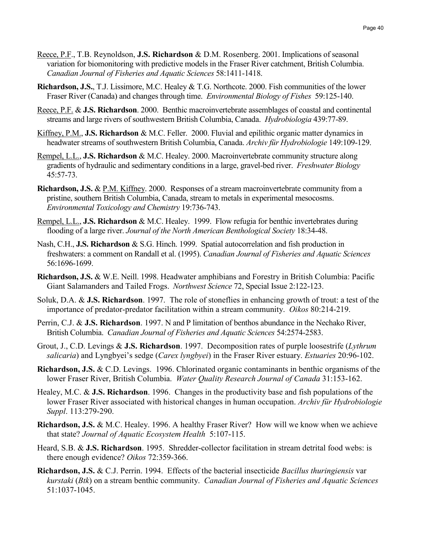- Reece, P.F., T.B. Reynoldson, **J.S. Richardson** & D.M. Rosenberg. 2001. Implications of seasonal variation for biomonitoring with predictive models in the Fraser River catchment, British Columbia. *Canadian Journal of Fisheries and Aquatic Sciences* 58:1411-1418.
- **Richardson, J.S.**, T.J. Lissimore, M.C. Healey & T.G. Northcote. 2000. Fish communities of the lower Fraser River (Canada) and changes through time. *Environmental Biology of Fishes* 59:125-140.
- Reece, P.F. & **J.S. Richardson**. 2000. Benthic macroinvertebrate assemblages of coastal and continental streams and large rivers of southwestern British Columbia, Canada. *Hydrobiologia* 439:77-89.
- Kiffney, P.M., **J.S. Richardson** & M.C. Feller. 2000. Fluvial and epilithic organic matter dynamics in headwater streams of southwestern British Columbia, Canada. *Archiv für Hydrobiologie* 149:109-129.
- Rempel, L.L., **J.S. Richardson** & M.C. Healey. 2000. Macroinvertebrate community structure along gradients of hydraulic and sedimentary conditions in a large, gravel-bed river. *Freshwater Biology* 45:57-73.
- **Richardson, J.S.** & P.M. Kiffney. 2000. Responses of a stream macroinvertebrate community from a pristine, southern British Columbia, Canada, stream to metals in experimental mesocosms. *Environmental Toxicology and Chemistry* 19:736-743.
- Rempel, L.L., **J.S. Richardson** & M.C. Healey. 1999. Flow refugia for benthic invertebrates during flooding of a large river. *Journal of the North American Benthological Society* 18:34-48.
- Nash, C.H., **J.S. Richardson** & S.G. Hinch. 1999. Spatial autocorrelation and fish production in freshwaters: a comment on Randall et al. (1995). *Canadian Journal of Fisheries and Aquatic Sciences* 56:1696-1699.
- **Richardson, J.S.** & W.E. Neill. 1998. Headwater amphibians and Forestry in British Columbia: Pacific Giant Salamanders and Tailed Frogs. *Northwest Science* 72, Special Issue 2:122-123.
- Soluk, D.A. & **J.S. Richardson**. 1997. The role of stoneflies in enhancing growth of trout: a test of the importance of predator-predator facilitation within a stream community. *Oikos* 80:214-219.
- Perrin, C.J. & **J.S. Richardson**. 1997. N and P limitation of benthos abundance in the Nechako River, British Columbia. *Canadian Journal of Fisheries and Aquatic Sciences* 54:2574-2583.
- Grout, J., C.D. Levings & **J.S. Richardson**. 1997. Decomposition rates of purple loosestrife (*Lythrum salicaria*) and Lyngbyei's sedge (*Carex lyngbyei*) in the Fraser River estuary. *Estuaries* 20:96-102.
- **Richardson, J.S.** & C.D. Levings. 1996. Chlorinated organic contaminants in benthic organisms of the lower Fraser River, British Columbia. *Water Quality Research Journal of Canada* 31:153-162.
- Healey, M.C. & **J.S. Richardson**. 1996. Changes in the productivity base and fish populations of the lower Fraser River associated with historical changes in human occupation. *Archiv für Hydrobiologie Suppl*. 113:279-290.
- **Richardson, J.S.** & M.C. Healey. 1996. A healthy Fraser River? How will we know when we achieve that state? *Journal of Aquatic Ecosystem Health* 5:107-115.
- Heard, S.B. & **J.S. Richardson**. 1995. Shredder-collector facilitation in stream detrital food webs: is there enough evidence? *Oikos* 72:359-366.
- **Richardson, J.S.** & C.J. Perrin. 1994. Effects of the bacterial insecticide *Bacillus thuringiensis* var *kurstaki* (*Btk*) on a stream benthic community. *Canadian Journal of Fisheries and Aquatic Sciences*  51:1037-1045.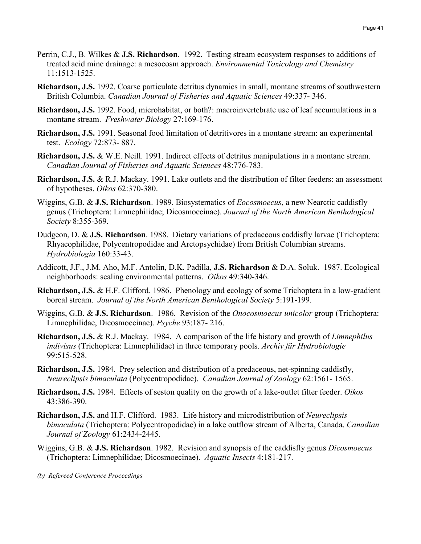- Perrin, C.J., B. Wilkes & **J.S. Richardson**. 1992. Testing stream ecosystem responses to additions of treated acid mine drainage: a mesocosm approach. *Environmental Toxicology and Chemistry*  11:1513-1525.
- **Richardson, J.S.** 1992. Coarse particulate detritus dynamics in small, montane streams of southwestern British Columbia. *Canadian Journal of Fisheries and Aquatic Sciences* 49:337- 346.
- **Richardson, J.S.** 1992. Food, microhabitat, or both?: macroinvertebrate use of leaf accumulations in a montane stream. *Freshwater Biology* 27:169-176.
- **Richardson, J.S.** 1991. Seasonal food limitation of detritivores in a montane stream: an experimental test. *Ecology* 72:873- 887.
- **Richardson, J.S.** & W.E. Neill. 1991. Indirect effects of detritus manipulations in a montane stream. *Canadian Journal of Fisheries and Aquatic Sciences* 48:776-783.
- **Richardson, J.S.** & R.J. Mackay. 1991. Lake outlets and the distribution of filter feeders: an assessment of hypotheses. *Oikos* 62:370-380.
- Wiggins, G.B. & **J.S. Richardson**. 1989. Biosystematics of *Eocosmoecus*, a new Nearctic caddisfly genus (Trichoptera: Limnephilidae; Dicosmoecinae). *Journal of the North American Benthological Society* 8:355-369.
- Dudgeon, D. & **J.S. Richardson**. 1988. Dietary variations of predaceous caddisfly larvae (Trichoptera: Rhyacophilidae, Polycentropodidae and Arctopsychidae) from British Columbian streams. *Hydrobiologia* 160:33-43.
- Addicott, J.F., J.M. Aho, M.F. Antolin, D.K. Padilla, **J.S. Richardson** & D.A. Soluk. 1987. Ecological neighborhoods: scaling environmental patterns. *Oikos* 49:340-346.
- **Richardson, J.S.** & H.F. Clifford. 1986. Phenology and ecology of some Trichoptera in a low-gradient boreal stream. *Journal of the North American Benthological Society* 5:191-199.
- Wiggins, G.B. & **J.S. Richardson**. 1986. Revision of the *Onocosmoecus unicolor* group (Trichoptera: Limnephilidae, Dicosmoecinae). *Psyche* 93:187- 216.
- **Richardson, J.S.** & R.J. Mackay. 1984. A comparison of the life history and growth of *Limnephilus indivisus* (Trichoptera: Limnephilidae) in three temporary pools. *Archiv für Hydrobiologie* 99:515-528.
- **Richardson, J.S.** 1984. Prey selection and distribution of a predaceous, net-spinning caddisfly, *Neureclipsis bimaculata* (Polycentropodidae). *Canadian Journal of Zoology* 62:1561- 1565.
- **Richardson, J.S.** 1984. Effects of seston quality on the growth of a lake-outlet filter feeder. *Oikos* 43:386-390.
- **Richardson, J.S.** and H.F. Clifford. 1983. Life history and microdistribution of *Neureclipsis bimaculata* (Trichoptera: Polycentropodidae) in a lake outflow stream of Alberta, Canada. *Canadian Journal of Zoology* 61:2434-2445.
- Wiggins, G.B. & **J.S. Richardson**. 1982. Revision and synopsis of the caddisfly genus *Dicosmoecus* (Trichoptera: Limnephilidae; Dicosmoecinae). *Aquatic Insects* 4:181-217.

*(b) Refereed Conference Proceedings*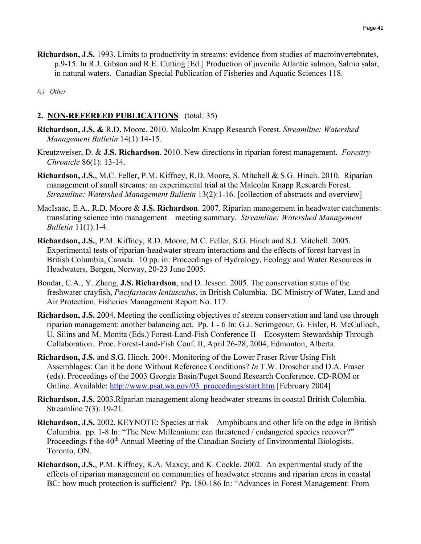**Richardson, J.S.** 1993. Limits to productivity in streams: evidence from studies of macroinvertebrates, p.9-15. In R.J. Gibson and R.E. Cutting [Ed.] Production of juvenile Atlantic salmon, Salmo salar, in natural waters. Canadian Special Publication of Fisheries and Aquatic Sciences 118.

*(c) Other*

# **2. NON-REFEREED PUBLICATIONS** (total: 35)

- **Richardson, J.S. &** R.D. Moore. 2010. Malcolm Knapp Research Forest. *Streamline: Watershed Management Bulletin* 14(1):14-15.
- Kreutzweiser, D. & **J.S. Richardson**. 2010. New directions in riparian forest management. *Forestry Chronicle* 86(1): 13-14.
- **Richardson, J.S.**, M.C. Feller, P.M. Kiffney, R.D. Moore, S. Mitchell & S.G. Hinch. 2010. Riparian management of small streams: an experimental trial at the Malcolm Knapp Research Forest. *Streamline: Watershed Management Bulletin* 13(2):1-16. [collection of abstracts and overview]
- MacIsaac, E.A., R.D. Moore & **J.S. Richardson**. 2007. Riparian management in headwater catchments: translating science into management – meeting summary. *Streamline: Watershed Management Bulletin* 11(1):1-4.
- **Richardson, J.S.**, P.M. Kiffney, R.D. Moore, M.C. Feller, S.G. Hinch and S.J. Mitchell. 2005. Experimental tests of riparian-headwater stream interactions and the effects of forest harvest in British Columbia, Canada. 10 pp. in: Proceedings of Hydrology, Ecology and Water Resources in Headwaters, Bergen, Norway, 20-23 June 2005.
- Bondar, C.A., Y. Zhang, **J.S. Richardson**, and D. Jesson. 2005. The conservation status of the freshwater crayfish, *Pacifastacus leniusculus*, in British Columbia. BC Ministry of Water, Land and Air Protection. Fisheries Management Report No. 117.
- **Richardson, J.S.** 2004. Meeting the conflicting objectives of stream conservation and land use through riparian management: another balancing act. Pp. 1 - 6 In: G.J. Scrimgeour, G. Eisler, B. McCulloch, U. Silins and M. Monita (Eds.) Forest-Land-Fish Conference II – Ecosystem Stewardship Through Collaboration. Proc. Forest-Land-Fish Conf. II, April 26-28, 2004, Edmonton, Alberta.
- **Richardson, J.S.** and S.G. Hinch. 2004. Monitoring of the Lower Fraser River Using Fish Assemblages: Can it be done Without Reference Conditions? *In* T.W. Droscher and D.A. Fraser (eds). Proceedings of the 2003 Georgia Basin/Puget Sound Research Conference. CD-ROM or Online. Available: *H*[http://www.psat.wa.gov/03\\_proceedings/start.htm](http://www.psat.wa.gov/03_proceedings/start.htm)*<sup>H</sup>* [February 2004]
- **Richardson, J.S.** 2003.Riparian management along headwater streams in coastal British Columbia. Streamline 7(3): 19-21.
- **Richardson, J.S.** 2002. KEYNOTE: Species at risk Amphibians and other life on the edge in British Columbia. pp. 1-8 In: "The New Millennium: can threatened / endangered species recover?" Proceedings f the 40<sup>th</sup> Annual Meeting of the Canadian Society of Environmental Biologists. Toronto, ON.
- **Richardson, J.S.**, P.M. Kiffney, K.A. Maxcy, and K. Cockle. 2002. An experimental study of the effects of riparian management on communities of headwater streams and riparian areas in coastal BC: how much protection is sufficient? Pp. 180-186 In: "Advances in Forest Management: From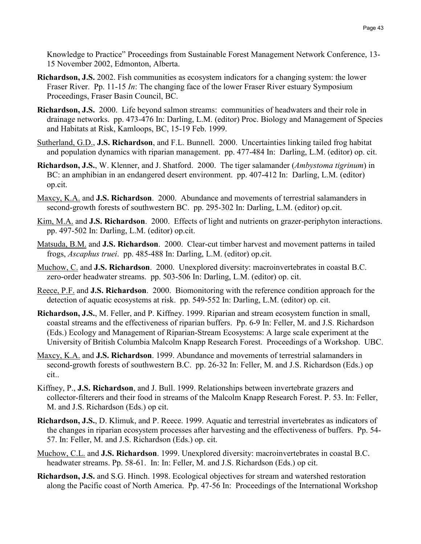Knowledge to Practice" Proceedings from Sustainable Forest Management Network Conference, 13- 15 November 2002, Edmonton, Alberta.

- **Richardson, J.S.** 2002. Fish communities as ecosystem indicators for a changing system: the lower Fraser River. Pp. 11-15 *In*: The changing face of the lower Fraser River estuary Symposium Proceedings, Fraser Basin Council, BC.
- **Richardson, J.S.** 2000. Life beyond salmon streams: communities of headwaters and their role in drainage networks. pp. 473-476 In: Darling, L.M. (editor) Proc. Biology and Management of Species and Habitats at Risk, Kamloops, BC, 15-19 Feb. 1999.
- Sutherland, G.D., **J.S. Richardson**, and F.L. Bunnell. 2000. Uncertainties linking tailed frog habitat and population dynamics with riparian management. pp. 477-484 In: Darling, L.M. (editor) op. cit.
- **Richardson, J.S.**, W. Klenner, and J. Shatford. 2000. The tiger salamander (*Ambystoma tigrinum*) in BC: an amphibian in an endangered desert environment. pp. 407-412 In: Darling, L.M. (editor) op.cit.
- Maxcy, K.A. and **J.S. Richardson**. 2000. Abundance and movements of terrestrial salamanders in second-growth forests of southwestern BC. pp. 295-302 In: Darling, L.M. (editor) op.cit.
- Kim, M.A. and **J.S. Richardson**. 2000. Effects of light and nutrients on grazer-periphyton interactions. pp. 497-502 In: Darling, L.M. (editor) op.cit.
- Matsuda, B.M. and **J.S. Richardson**. 2000. Clear-cut timber harvest and movement patterns in tailed frogs, *Ascaphus truei*. pp. 485-488 In: Darling, L.M. (editor) op.cit.
- Muchow, C. and **J.S. Richardson**. 2000. Unexplored diversity: macroinvertebrates in coastal B.C. zero-order headwater streams. pp. 503-506 In: Darling, L.M. (editor) op. cit.
- Reece, P.F. and **J.S. Richardson**. 2000. Biomonitoring with the reference condition approach for the detection of aquatic ecosystems at risk. pp. 549-552 In: Darling, L.M. (editor) op. cit.
- **Richardson, J.S.**, M. Feller, and P. Kiffney. 1999. Riparian and stream ecosystem function in small, coastal streams and the effectiveness of riparian buffers. Pp. 6-9 In: Feller, M. and J.S. Richardson (Eds.) Ecology and Management of Riparian-Stream Ecosystems: A large scale experiment at the University of British Columbia Malcolm Knapp Research Forest. Proceedings of a Workshop. UBC.
- Maxcy, K.A. and **J.S. Richardson**. 1999. Abundance and movements of terrestrial salamanders in second-growth forests of southwestern B.C. pp. 26-32 In: Feller, M. and J.S. Richardson (Eds.) op cit..
- Kiffney, P., **J.S. Richardson**, and J. Bull. 1999. Relationships between invertebrate grazers and collector-filterers and their food in streams of the Malcolm Knapp Research Forest. P. 53. In: Feller, M. and J.S. Richardson (Eds.) op cit.
- **Richardson, J.S.**, D. Klimuk, and P. Reece. 1999. Aquatic and terrestrial invertebrates as indicators of the changes in riparian ecosystem processes after harvesting and the effectiveness of buffers. Pp. 54- 57. In: Feller, M. and J.S. Richardson (Eds.) op. cit.
- Muchow, C.L. and **J.S. Richardson**. 1999. Unexplored diversity: macroinvertebrates in coastal B.C. headwater streams. Pp. 58-61. In: In: Feller, M. and J.S. Richardson (Eds.) op cit.
- **Richardson, J.S.** and S.G. Hinch. 1998. Ecological objectives for stream and watershed restoration along the Pacific coast of North America. Pp. 47-56 In: Proceedings of the International Workshop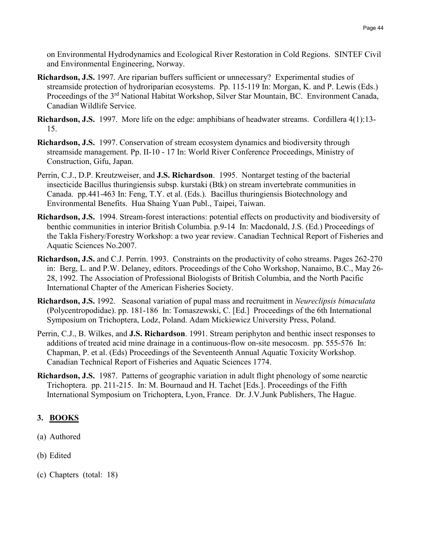on Environmental Hydrodynamics and Ecological River Restoration in Cold Regions. SINTEF Civil and Environmental Engineering, Norway.

- **Richardson, J.S.** 1997. Are riparian buffers sufficient or unnecessary? Experimental studies of streamside protection of hydroriparian ecosystems. Pp. 115-119 In: Morgan, K. and P. Lewis (Eds.) Proceedings of the 3<sup>rd</sup> National Habitat Workshop, Silver Star Mountain, BC. Environment Canada, Canadian Wildlife Service.
- **Richardson, J.S.** 1997. More life on the edge: amphibians of headwater streams. Cordillera 4(1):13- 15.
- **Richardson, J.S.** 1997. Conservation of stream ecosystem dynamics and biodiversity through streamside management. Pp. II-10 - 17 In: World River Conference Proceedings, Ministry of Construction, Gifu, Japan.
- Perrin, C.J., D.P. Kreutzweiser, and **J.S. Richardson**. 1995. Nontarget testing of the bacterial insecticide Bacillus thuringiensis subsp. kurstaki (Btk) on stream invertebrate communities in Canada. pp.441-463 In: Feng, T.Y. et al. (Eds.). Bacillus thuringiensis Biotechnology and Environmental Benefits. Hua Shaing Yuan Publ., Taipei, Taiwan.
- **Richardson, J.S.** 1994. Stream-forest interactions: potential effects on productivity and biodiversity of benthic communities in interior British Columbia. p.9-14 In: Macdonald, J.S. (Ed.) Proceedings of the Takla Fishery/Forestry Workshop: a two year review. Canadian Technical Report of Fisheries and Aquatic Sciences No.2007.
- **Richardson, J.S.** and C.J. Perrin. 1993. Constraints on the productivity of coho streams. Pages 262-270 in: Berg, L. and P.W. Delaney, editors. Proceedings of the Coho Workshop, Nanaimo, B.C., May 26- 28, 1992. The Association of Professional Biologists of British Columbia, and the North Pacific International Chapter of the American Fisheries Society.
- **Richardson, J.S.** 1992. Seasonal variation of pupal mass and recruitment in *Neureclipsis bimaculata* (Polycentropodidae). pp. 181-186 In: Tomaszewski, C. [Ed.] Proceedings of the 6th International Symposium on Trichoptera, Lodz, Poland. Adam Mickiewicz University Press, Poland.
- Perrin, C.J., B. Wilkes, and **J.S. Richardson**. 1991. Stream periphyton and benthic insect responses to additions of treated acid mine drainage in a continuous-flow on-site mesocosm. pp. 555-576 In: Chapman, P. et al. (Eds) Proceedings of the Seventeenth Annual Aquatic Toxicity Workshop. Canadian Technical Report of Fisheries and Aquatic Sciences 1774.
- **Richardson, J.S.** 1987. Patterns of geographic variation in adult flight phenology of some nearctic Trichoptera. pp. 211-215. In: M. Bournaud and H. Tachet [Eds.]. Proceedings of the Fifth International Symposium on Trichoptera, Lyon, France. Dr. J.V.Junk Publishers, The Hague.

# **3. BOOKS**

- (a) Authored
- (b) Edited
- (c) Chapters (total: 18)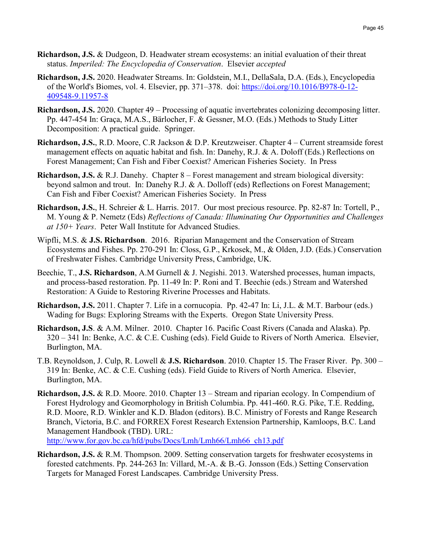- **Richardson, J.S.** & Dudgeon, D. Headwater stream ecosystems: an initial evaluation of their threat status. *Imperiled: The Encyclopedia of Conservation*. Elsevier *accepted*
- **Richardson, J.S.** 2020. Headwater Streams. In: Goldstein, M.I., DellaSala, D.A. (Eds.), Encyclopedia of the World's Biomes, vol. 4. Elsevier, pp. 371–378. doi: [https://doi.org/10.1016/B978-0-12-](https://doi.org/10.1016/B978-0-12-409548-9.11957-8) [409548-9.11957-8](https://doi.org/10.1016/B978-0-12-409548-9.11957-8)
- **Richardson, J.S.** 2020. Chapter 49 Processing of aquatic invertebrates colonizing decomposing litter. Pp. 447-454 In: Graça, M.A.S., Bärlocher, F. & Gessner, M.O. (Eds.) Methods to Study Litter Decomposition: A practical guide. Springer.
- **Richardson, J.S.**, R.D. Moore, C.R Jackson & D.P. Kreutzweiser. Chapter 4 Current streamside forest management effects on aquatic habitat and fish. In: Danehy, R.J. & A. Doloff (Eds.) Reflections on Forest Management; Can Fish and Fiber Coexist? American Fisheries Society. In Press
- **Richardson, J.S.** & R.J. Danehy. Chapter 8 Forest management and stream biological diversity: beyond salmon and trout. In: Danehy R.J. & A. Dolloff (eds) Reflections on Forest Management; Can Fish and Fiber Coexist? American Fisheries Society. In Press
- **Richardson, J.S.**, H. Schreier & L. Harris. 2017. Our most precious resource. Pp. 82-87 In: Tortell, P., M. Young & P. Nemetz (Eds) *Reflections of Canada: Illuminating Our Opportunities and Challenges at 150+ Years*. Peter Wall Institute for Advanced Studies.
- Wipfli, M.S. & **J.S. Richardson**. 2016. Riparian Management and the Conservation of Stream Ecosystems and Fishes. Pp. 270-291 In: Closs, G.P., Krkosek, M., & Olden, J.D. (Eds.) Conservation of Freshwater Fishes. Cambridge University Press, Cambridge, UK.
- Beechie, T., **J.S. Richardson**, A.M Gurnell & J. Negishi. 2013. Watershed processes, human impacts, and process-based restoration. Pp. 11-49 In: P. Roni and T. Beechie (eds.) Stream and Watershed Restoration: A Guide to Restoring Riverine Processes and Habitats.
- **Richardson, J.S.** 2011. Chapter 7. Life in a cornucopia. Pp. 42-47 In: Li, J.L. & M.T. Barbour (eds.) Wading for Bugs: Exploring Streams with the Experts. Oregon State University Press.
- **Richardson, J.S**. & A.M. Milner. 2010. Chapter 16. Pacific Coast Rivers (Canada and Alaska). Pp. 320 – 341 In: Benke, A.C. & C.E. Cushing (eds). Field Guide to Rivers of North America. Elsevier, Burlington, MA.
- T.B. Reynoldson, J. Culp, R. Lowell & **J.S. Richardson**. 2010. Chapter 15. The Fraser River. Pp. 300 319 In: Benke, AC. & C.E. Cushing (eds). Field Guide to Rivers of North America. Elsevier, Burlington, MA.
- **Richardson, J.S.** & R.D. Moore. 2010. Chapter 13 Stream and riparian ecology. In Compendium of Forest Hydrology and Geomorphology in British Columbia. Pp. 441-460. R.G. Pike, T.E. Redding, R.D. Moore, R.D. Winkler and K.D. Bladon (editors). B.C. Ministry of Forests and Range Research Branch, Victoria, B.C. and FORREX Forest Research Extension Partnership, Kamloops, B.C. Land Management Handbook (TBD). URL: [http://www.for.gov.bc.ca/hfd/pubs/Docs/Lmh/Lmh66/Lmh66\\_ch13.pdf](http://www.for.gov.bc.ca/hfd/pubs/Docs/Lmh/Lmh66/Lmh66_ch13.pdf)
- **Richardson, J.S.** & R.M. Thompson. 2009. Setting conservation targets for freshwater ecosystems in forested catchments. Pp. 244-263 In: Villard, M.-A. & B.-G. Jonsson (Eds.) Setting Conservation Targets for Managed Forest Landscapes. Cambridge University Press.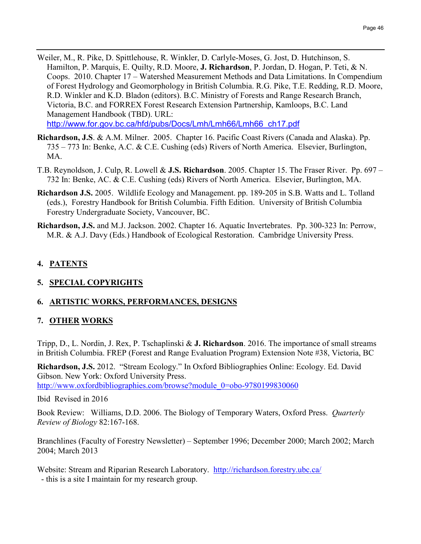- Weiler, M., R. Pike, D. Spittlehouse, R. Winkler, D. Carlyle-Moses, G. Jost, D. Hutchinson, S. Hamilton, P. Marquis, E. Quilty, R.D. Moore, **J. Richardson**, P. Jordan, D. Hogan, P. Teti, & N. Coops. 2010. Chapter 17 – Watershed Measurement Methods and Data Limitations. In Compendium of Forest Hydrology and Geomorphology in British Columbia. R.G. Pike, T.E. Redding, R.D. Moore, R.D. Winkler and K.D. Bladon (editors). B.C. Ministry of Forests and Range Research Branch, Victoria, B.C. and FORREX Forest Research Extension Partnership, Kamloops, B.C. Land Management Handbook (TBD). URL: [http://www.for.gov.bc.ca/hfd/pubs/Docs/Lmh/Lmh66/Lmh66\\_ch17.pdf](http://www.for.gov.bc.ca/hfd/pubs/Docs/Lmh/Lmh66/Lmh66_ch17.pdf)
- **Richardson, J.S**. & A.M. Milner. 2005. Chapter 16. Pacific Coast Rivers (Canada and Alaska). Pp. 735 – 773 In: Benke, A.C. & C.E. Cushing (eds) Rivers of North America. Elsevier, Burlington, MA.
- T.B. Reynoldson, J. Culp, R. Lowell & **J.S. Richardson**. 2005. Chapter 15. The Fraser River. Pp. 697 732 In: Benke, AC. & C.E. Cushing (eds) Rivers of North America. Elsevier, Burlington, MA.
- **Richardson J.S.** 2005. Wildlife Ecology and Management. pp. 189-205 in S.B. Watts and L. Tolland (eds.), Forestry Handbook for British Columbia. Fifth Edition. University of British Columbia Forestry Undergraduate Society, Vancouver, BC.
- *14B***Richardson, J.S.** and M.J. Jackson. 2002. Chapter 16. Aquatic Invertebrates. Pp. 300-323 In: Perrow, M.R. & A.J. Davy (Eds.) Handbook of Ecological Restoration. Cambridge University Press.

# **4. PATENTS**

# **5. SPECIAL COPYRIGHTS**

# **6. ARTISTIC WORKS, PERFORMANCES, DESIGNS**

# **7. OTHER WORKS**

Tripp, D., L. Nordin, J. Rex, P. Tschaplinski & **J. Richardson**. 2016. The importance of small streams in British Columbia. FREP (Forest and Range Evaluation Program) Extension Note #38, Victoria, BC

**Richardson, J.S.** 2012. "Stream Ecology." In Oxford Bibliographies Online: Ecology. Ed. David Gibson. New York: Oxford University Press.

[http://www.oxfordbibliographies.com/browse?module\\_0=obo-9780199830060](http://www.oxfordbibliographies.com/browse?module_0=obo-9780199830060)

Ibid Revised in 2016

Book Review: Williams, D.D. 2006. The Biology of Temporary Waters, Oxford Press. *Quarterly Review of Biology* 82:167-168.

Branchlines (Faculty of Forestry Newsletter) – September 1996; December 2000; March 2002; March 2004; March 2013

Website: Stream and Riparian Research Laboratory. [http://richardson.forestry.ubc.ca/](http://faculty.forestry.ubc.ca/richardson/) - this is a site I maintain for my research group.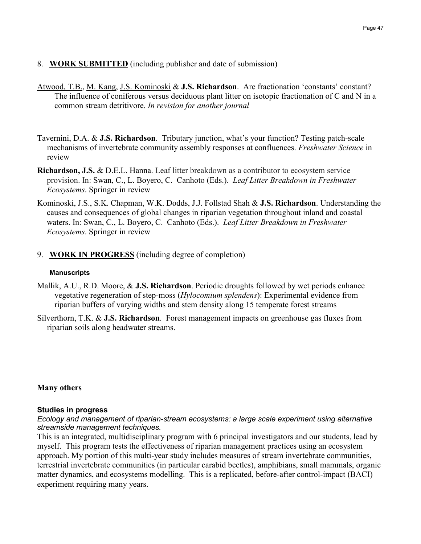# 8. **WORK SUBMITTED** (including publisher and date of submission)

- Atwood, T.B., M. Kang, J.S. Kominoski & **J.S. Richardson**. Are fractionation 'constants' constant? The influence of coniferous versus deciduous plant litter on isotopic fractionation of C and N in a common stream detritivore. *In revision for another journal*
- Tavernini, D.A. & **J.S. Richardson**. Tributary junction, what's your function? Testing patch-scale mechanisms of invertebrate community assembly responses at confluences. *Freshwater Science* in review
- **Richardson, J.S.** & D.E.L. Hanna. Leaf litter breakdown as a contributor to ecosystem service provision. In: Swan, C., L. Boyero, C. Canhoto (Eds.). *Leaf Litter Breakdown in Freshwater Ecosystems*. Springer in review
- Kominoski, J.S., S.K. Chapman, W.K. Dodds, J.J. Follstad Shah & **J.S. Richardson**. Understanding the causes and consequences of global changes in riparian vegetation throughout inland and coastal waters. In: Swan, C., L. Boyero, C. Canhoto (Eds.). *Leaf Litter Breakdown in Freshwater Ecosystems*. Springer in review
- 9. **WORK IN PROGRESS** (including degree of completion)

#### *26B***Manuscripts**

- Mallik, A.U., R.D. Moore, & **J.S. Richardson**. Periodic droughts followed by wet periods enhance vegetative regeneration of step-moss (*Hylocomium splendens*): Experimental evidence from riparian buffers of varying widths and stem density along 15 temperate forest streams
- Silverthorn, T.K. & **J.S. Richardson**. Forest management impacts on greenhouse gas fluxes from riparian soils along headwater streams.

# **Many others**

#### **Studies in progress**

*Ecology and management of riparian-stream ecosystems: a large scale experiment using alternative streamside management techniques.*

This is an integrated, multidisciplinary program with 6 principal investigators and our students, lead by myself. This program tests the effectiveness of riparian management practices using an ecosystem approach. My portion of this multi-year study includes measures of stream invertebrate communities, terrestrial invertebrate communities (in particular carabid beetles), amphibians, small mammals, organic matter dynamics, and ecosystems modelling. This is a replicated, before-after control-impact (BACI) experiment requiring many years.